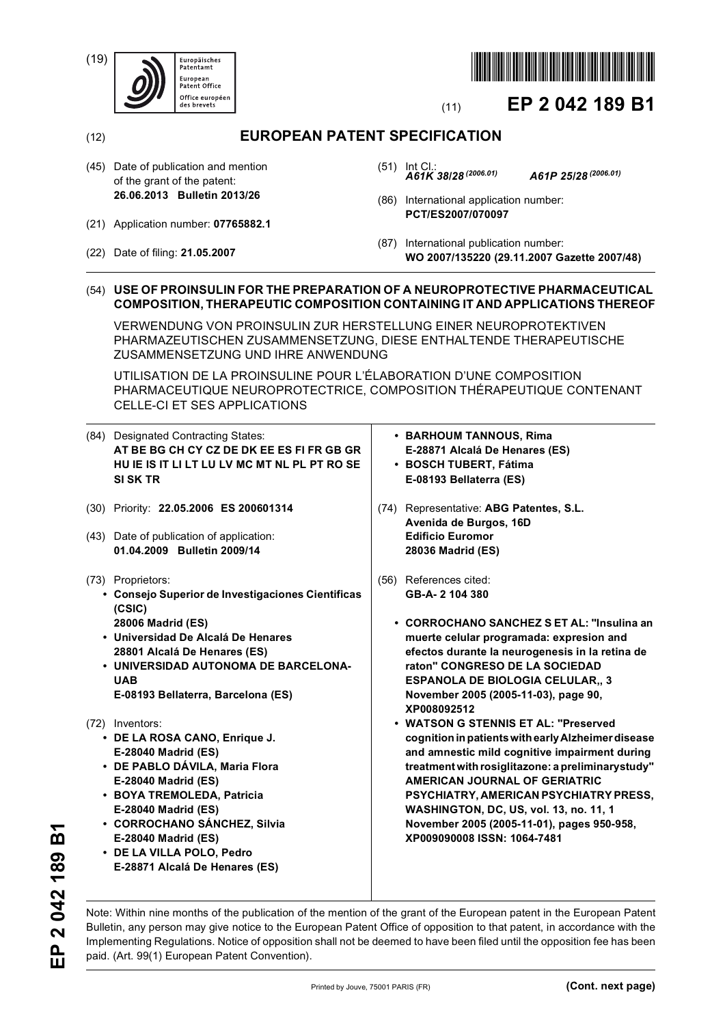(19)





# (11) **EP 2 042 189 B1**

(12) **EUROPEAN PATENT SPECIFICATION**

- (45) Date of publication and mention of the grant of the patent: **26.06.2013 Bulletin 2013/26**
- (21) Application number: **07765882.1**
- (22) Date of filing: **21.05.2007**
- (51) Int Cl.: *A61K 38/28 (2006.01) A61P 25/28 (2006.01)*
- (86) International application number: **PCT/ES2007/070097**
- (87) International publication number: **WO 2007/135220 (29.11.2007 Gazette 2007/48)**

### (54) **USE OF PROINSULIN FOR THE PREPARATION OF A NEUROPROTECTIVE PHARMACEUTICAL COMPOSITION, THERAPEUTIC COMPOSITION CONTAINING IT AND APPLICATIONS THEREOF**

VERWENDUNG VON PROINSULIN ZUR HERSTELLUNG EINER NEUROPROTEKTIVEN PHARMAZEUTISCHEN ZUSAMMENSETZUNG, DIESE ENTHALTENDE THERAPEUTISCHE ZUSAMMENSETZUNG UND IHRE ANWENDUNG

UTILISATION DE LA PROINSULINE POUR L'ÉLABORATION D'UNE COMPOSITION PHARMACEUTIQUE NEUROPROTECTRICE, COMPOSITION THÉRAPEUTIQUE CONTENANT CELLE-CI ET SES APPLICATIONS

| (84) Designated Contracting States:<br>AT BE BG CH CY CZ DE DK EE ES FI FR GB GR<br>HU IE IS IT LI LT LU LV MC MT NL PL PT RO SE<br><b>SI SK TR</b>                                                                                                                                                         | • BARHOUM TANNOUS, Rima<br>E-28871 Alcalá De Henares (ES)<br>· BOSCH TUBERT, Fátima<br>E-08193 Bellaterra (ES)                                                                                                                                                                                                                                                                                                    |
|-------------------------------------------------------------------------------------------------------------------------------------------------------------------------------------------------------------------------------------------------------------------------------------------------------------|-------------------------------------------------------------------------------------------------------------------------------------------------------------------------------------------------------------------------------------------------------------------------------------------------------------------------------------------------------------------------------------------------------------------|
| (30) Priority: 22.05.2006 ES 200601314<br>(43) Date of publication of application:<br>01.04.2009 Bulletin 2009/14                                                                                                                                                                                           | Representative: ABG Patentes, S.L.<br>(74)<br>Avenida de Burgos, 16D<br><b>Edificio Euromor</b><br>28036 Madrid (ES)                                                                                                                                                                                                                                                                                              |
| (73) Proprietors:<br>Consejo Superior de Investigaciones Cientificas<br>$\bullet$<br>(CSIC)<br>28006 Madrid (ES)<br>• Universidad De Alcalá De Henares<br>28801 Alcalá De Henares (ES)<br>• UNIVERSIDAD AUTONOMA DE BARCELONA-<br><b>UAB</b><br>E-08193 Bellaterra, Barcelona (ES)                          | References cited:<br>(56)<br>GB-A-2 104 380<br>• CORROCHANO SANCHEZ S ET AL: "Insulina an<br>muerte celular programada: expresion and<br>efectos durante la neurogenesis in la retina de<br>raton" CONGRESO DE LA SOCIEDAD<br><b>ESPANOLA DE BIOLOGIA CELULAR,, 3</b><br>November 2005 (2005-11-03), page 90,                                                                                                     |
| (72) Inventors:<br>• DE LA ROSA CANO, Enrique J.<br>E-28040 Madrid (ES)<br>• DE PABLO DÁVILA, Maria Flora<br>E-28040 Madrid (ES)<br>• BOYA TREMOLEDA, Patricia<br>E-28040 Madrid (ES)<br>• CORROCHANO SÁNCHEZ, Silvia<br>E-28040 Madrid (ES)<br>• DE LA VILLA POLO, Pedro<br>E-28871 Alcalá De Henares (ES) | XP008092512<br>• WATSON G STENNIS ET AL: "Preserved<br>cognition in patients with early Alzheimer disease<br>and amnestic mild cognitive impairment during<br>treatment with rosiglitazone: a preliminarystudy"<br>AMERICAN JOURNAL OF GERIATRIC<br>PSYCHIATRY, AMERICAN PSYCHIATRY PRESS,<br>WASHINGTON, DC, US, vol. 13, no. 11, 1<br>November 2005 (2005-11-01), pages 950-958,<br>XP009090008 ISSN: 1064-7481 |

2042189B1 **EP 2 042 189 B1**  $\mathbf{P}$ 

Note: Within nine months of the publication of the mention of the grant of the European patent in the European Patent Bulletin, any person may give notice to the European Patent Office of opposition to that patent, in accordance with the Implementing Regulations. Notice of opposition shall not be deemed to have been filed until the opposition fee has been paid. (Art. 99(1) European Patent Convention).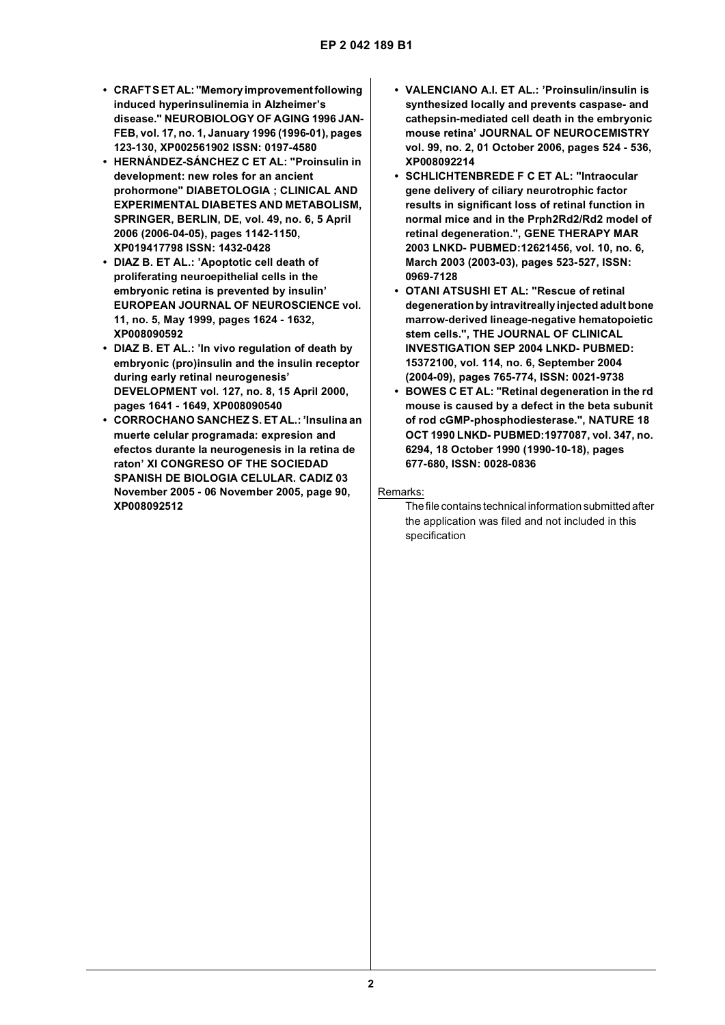- **CRAFT S ET AL: "Memory improvement following induced hyperinsulinemia in Alzheimer's disease." NEUROBIOLOGY OF AGING 1996 JAN-FEB, vol. 17, no. 1, January 1996 (1996-01), pages 123-130, XP002561902 ISSN: 0197-4580**
- **HERNÁNDEZ-SÁNCHEZ C ET AL: "Proinsulin in development: new roles for an ancient prohormone" DIABETOLOGIA ; CLINICAL AND EXPERIMENTAL DIABETES AND METABOLISM, SPRINGER, BERLIN, DE, vol. 49, no. 6, 5 April 2006 (2006-04-05), pages 1142-1150, XP019417798 ISSN: 1432-0428**
- **DIAZ B. ET AL.: 'Apoptotic cell death of proliferating neuroepithelial cells in the embryonic retina is prevented by insulin' EUROPEAN JOURNAL OF NEUROSCIENCE vol. 11, no. 5, May 1999, pages 1624 - 1632, XP008090592**
- **DIAZ B. ET AL.: 'In vivo regulation of death by embryonic (pro)insulin and the insulin receptor during early retinal neurogenesis' DEVELOPMENT vol. 127, no. 8, 15 April 2000, pages 1641 - 1649, XP008090540**
- **CORROCHANO SANCHEZ S. ET AL.: 'Insulina an muerte celular programada: expresion and efectos durante la neurogenesis in la retina de raton' XI CONGRESO OF THE SOCIEDAD SPANISH DE BIOLOGIA CELULAR. CADIZ 03 November 2005 - 06 November 2005, page 90, XP008092512**
- **VALENCIANO A.I. ET AL.: 'Proinsulin/insulin is synthesized locally and prevents caspase- and cathepsin-mediated cell death in the embryonic mouse retina' JOURNAL OF NEUROCEMISTRY vol. 99, no. 2, 01 October 2006, pages 524 - 536, XP008092214**
- **SCHLICHTENBREDE F C ET AL: "Intraocular gene delivery of ciliary neurotrophic factor results in significant loss of retinal function in normal mice and in the Prph2Rd2/Rd2 model of retinal degeneration.", GENE THERAPY MAR 2003 LNKD- PUBMED:12621456, vol. 10, no. 6, March 2003 (2003-03), pages 523-527, ISSN: 0969-7128**
- **OTANI ATSUSHI ET AL: "Rescue of retinal degeneration by intravitreally injected adult bone marrow-derived lineage-negative hematopoietic stem cells.", THE JOURNAL OF CLINICAL INVESTIGATION SEP 2004 LNKD- PUBMED: 15372100, vol. 114, no. 6, September 2004 (2004-09), pages 765-774, ISSN: 0021-9738**
- **BOWES C ET AL: "Retinal degeneration in the rd mouse is caused by a defect in the beta subunit of rod cGMP-phosphodiesterase.", NATURE 18 OCT 1990 LNKD- PUBMED:1977087, vol. 347, no. 6294, 18 October 1990 (1990-10-18), pages 677-680, ISSN: 0028-0836**

#### Remarks:

The file contains technical information submitted after the application was filed and not included in this specification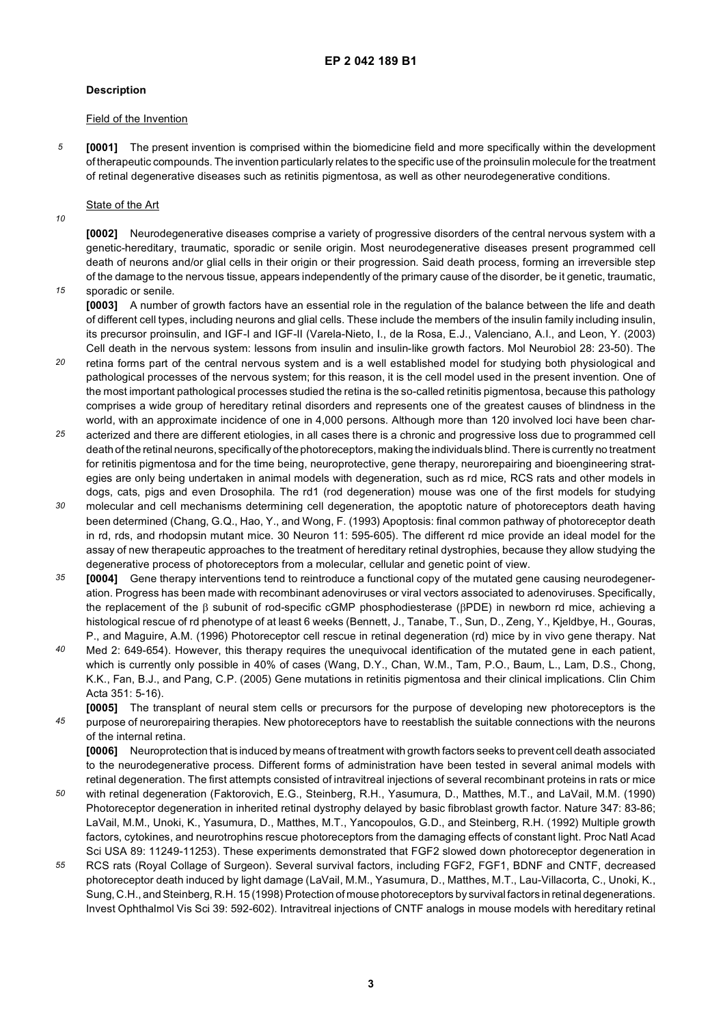#### **Description**

#### Field of the Invention

*5* **[0001]** The present invention is comprised within the biomedicine field and more specifically within the development of therapeutic compounds. The invention particularly relates to the specific use of the proinsulin molecule for the treatment of retinal degenerative diseases such as retinitis pigmentosa, as well as other neurodegenerative conditions.

### State of the Art

*10*

**[0002]** Neurodegenerative diseases comprise a variety of progressive disorders of the central nervous system with a genetic-hereditary, traumatic, sporadic or senile origin. Most neurodegenerative diseases present programmed cell death of neurons and/or glial cells in their origin or their progression. Said death process, forming an irreversible step of the damage to the nervous tissue, appears independently of the primary cause of the disorder, be it genetic, traumatic,

*15* sporadic or senile.

**[0003]** A number of growth factors have an essential role in the regulation of the balance between the life and death of different cell types, including neurons and glial cells. These include the members of the insulin family including insulin, its precursor proinsulin, and IGF-I and IGF-II (Varela-Nieto, I., de la Rosa, E.J., Valenciano, A.I., and Leon, Y. (2003) Cell death in the nervous system: lessons from insulin and insulin-like growth factors. Mol Neurobiol 28: 23-50). The

- *20* retina forms part of the central nervous system and is a well established model for studying both physiological and pathological processes of the nervous system; for this reason, it is the cell model used in the present invention. One of the most important pathological processes studied the retina is the so-called retinitis pigmentosa, because this pathology comprises a wide group of hereditary retinal disorders and represents one of the greatest causes of blindness in the world, with an approximate incidence of one in 4,000 persons. Although more than 120 involved loci have been char-
- *25* acterized and there are different etiologies, in all cases there is a chronic and progressive loss due to programmed cell death of the retinal neurons, specifically of the photoreceptors, making the individuals blind. There is currently no treatment for retinitis pigmentosa and for the time being, neuroprotective, gene therapy, neurorepairing and bioengineering strategies are only being undertaken in animal models with degeneration, such as rd mice, RCS rats and other models in dogs, cats, pigs and even Drosophila. The rd1 (rod degeneration) mouse was one of the first models for studying
- *30* molecular and cell mechanisms determining cell degeneration, the apoptotic nature of photoreceptors death having been determined (Chang, G.Q., Hao, Y., and Wong, F. (1993) Apoptosis: final common pathway of photoreceptor death in rd, rds, and rhodopsin mutant mice. 30 Neuron 11: 595-605). The different rd mice provide an ideal model for the assay of new therapeutic approaches to the treatment of hereditary retinal dystrophies, because they allow studying the degenerative process of photoreceptors from a molecular, cellular and genetic point of view.
- *35* **[0004]** Gene therapy interventions tend to reintroduce a functional copy of the mutated gene causing neurodegeneration. Progress has been made with recombinant adenoviruses or viral vectors associated to adenoviruses. Specifically, the replacement of the β subunit of rod-specific cGMP phosphodiesterase (βPDE) in newborn rd mice, achieving a histological rescue of rd phenotype of at least 6 weeks (Bennett, J., Tanabe, T., Sun, D., Zeng, Y., Kieldbye, H., Gouras, P., and Maguire, A.M. (1996) Photoreceptor cell rescue in retinal degeneration (rd) mice by in vivo gene therapy. Nat
- *40* Med 2: 649-654). However, this therapy requires the unequivocal identification of the mutated gene in each patient, which is currently only possible in 40% of cases (Wang, D.Y., Chan, W.M., Tam, P.O., Baum, L., Lam, D.S., Chong, K.K., Fan, B.J., and Pang, C.P. (2005) Gene mutations in retinitis pigmentosa and their clinical implications. Clin Chim Acta 351: 5-16).

*45* **[0005]** The transplant of neural stem cells or precursors for the purpose of developing new photoreceptors is the purpose of neurorepairing therapies. New photoreceptors have to reestablish the suitable connections with the neurons of the internal retina.

**[0006]** Neuroprotection that is induced by means of treatment with growth factors seeks to prevent cell death associated to the neurodegenerative process. Different forms of administration have been tested in several animal models with retinal degeneration. The first attempts consisted of intravitreal injections of several recombinant proteins in rats or mice

- *50* with retinal degeneration (Faktorovich, E.G., Steinberg, R.H., Yasumura, D., Matthes, M.T., and LaVail, M.M. (1990) Photoreceptor degeneration in inherited retinal dystrophy delayed by basic fibroblast growth factor. Nature 347: 83-86; LaVail, M.M., Unoki, K., Yasumura, D., Matthes, M.T., Yancopoulos, G.D., and Steinberg, R.H. (1992) Multiple growth factors, cytokines, and neurotrophins rescue photoreceptors from the damaging effects of constant light. Proc Natl Acad Sci USA 89: 11249-11253). These experiments demonstrated that FGF2 slowed down photoreceptor degeneration in
- *55* RCS rats (Royal Collage of Surgeon). Several survival factors, including FGF2, FGF1, BDNF and CNTF, decreased photoreceptor death induced by light damage (LaVail, M.M., Yasumura, D., Matthes, M.T., Lau-Villacorta, C., Unoki, K., Sung, C.H., and Steinberg, R.H. 15 (1998) Protection of mouse photoreceptors by survival factors in retinal degenerations. Invest Ophthalmol Vis Sci 39: 592-602). Intravitreal injections of CNTF analogs in mouse models with hereditary retinal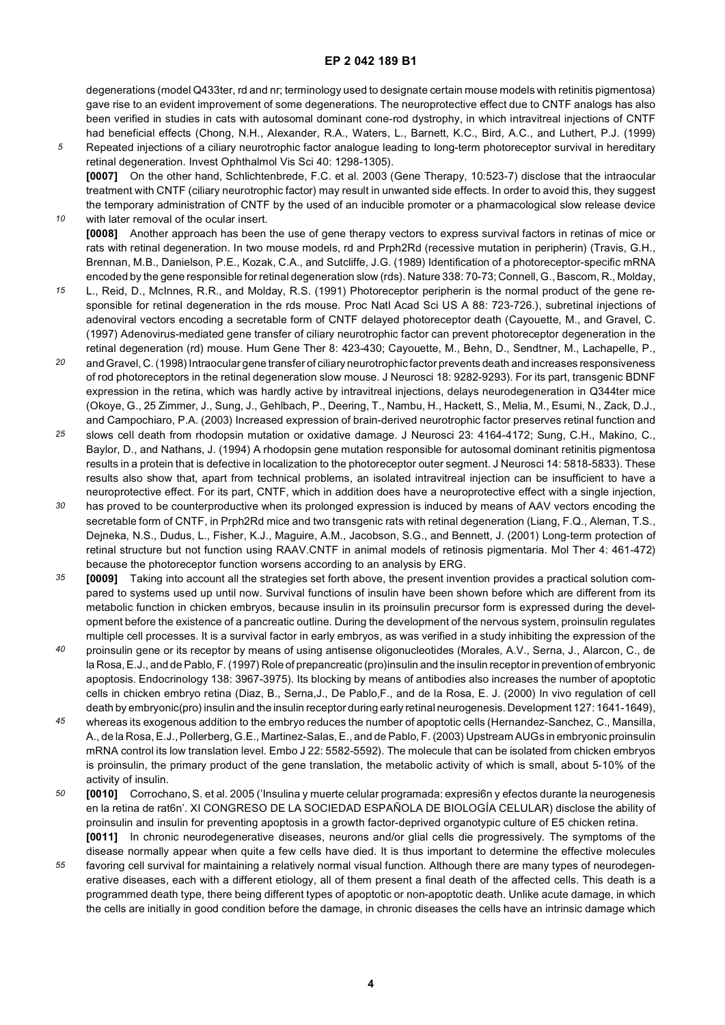degenerations (model Q433ter, rd and nr; terminology used to designate certain mouse models with retinitis pigmentosa) gave rise to an evident improvement of some degenerations. The neuroprotective effect due to CNTF analogs has also been verified in studies in cats with autosomal dominant cone-rod dystrophy, in which intravitreal injections of CNTF had beneficial effects (Chong, N.H., Alexander, R.A., Waters, L., Barnett, K.C., Bird, A.C., and Luthert, P.J. (1999)

*5* Repeated injections of a ciliary neurotrophic factor analogue leading to long-term photoreceptor survival in hereditary retinal degeneration. Invest Ophthalmol Vis Sci 40: 1298-1305). **[0007]** On the other hand, Schlichtenbrede, F.C. et al. 2003 (Gene Therapy, 10:523-7) disclose that the intraocular treatment with CNTF (ciliary neurotrophic factor) may result in unwanted side effects. In order to avoid this, they suggest the temporary administration of CNTF by the used of an inducible promoter or a pharmacological slow release device

*10* with later removal of the ocular insert. **[0008]** Another approach has been the use of gene therapy vectors to express survival factors in retinas of mice or rats with retinal degeneration. In two mouse models, rd and Prph2Rd (recessive mutation in peripherin) (Travis, G.H., Brennan, M.B., Danielson, P.E., Kozak, C.A., and Sutcliffe, J.G. (1989) Identification of a photoreceptor-specific mRNA

- *15* encoded by the gene responsible for retinal degeneration slow (rds). Nature 338: 70-73; Connell, G., Bascom, R., Molday, L., Reid, D., McInnes, R.R., and Molday, R.S. (1991) Photoreceptor peripherin is the normal product of the gene responsible for retinal degeneration in the rds mouse. Proc Natl Acad Sci US A 88: 723-726.), subretinal injections of adenoviral vectors encoding a secretable form of CNTF delayed photoreceptor death (Cayouette, M., and Gravel, C. (1997) Adenovirus-mediated gene transfer of ciliary neurotrophic factor can prevent photoreceptor degeneration in the retinal degeneration (rd) mouse. Hum Gene Ther 8: 423-430; Cayouette, M., Behn, D., Sendtner, M., Lachapelle, P.,
- *20* and Gravel, C. (1998) Intraocular gene transfer of ciliary neurotrophic factor prevents death and increases responsiveness of rod photoreceptors in the retinal degeneration slow mouse. J Neurosci 18: 9282-9293). For its part, transgenic BDNF expression in the retina, which was hardly active by intravitreal injections, delays neurodegeneration in Q344ter mice (Okoye, G., 25 Zimmer, J., Sung, J., Gehlbach, P., Deering, T., Nambu, H., Hackett, S., Melia, M., Esumi, N., Zack, D.J., and Campochiaro, P.A. (2003) Increased expression of brain-derived neurotrophic factor preserves retinal function and
- *25* slows cell death from rhodopsin mutation or oxidative damage. J Neurosci 23: 4164-4172; Sung, C.H., Makino, C., Baylor, D., and Nathans, J. (1994) A rhodopsin gene mutation responsible for autosomal dominant retinitis pigmentosa results in a protein that is defective in localization to the photoreceptor outer segment. J Neurosci 14: 5818-5833). These results also show that, apart from technical problems, an isolated intravitreal injection can be insufficient to have a neuroprotective effect. For its part, CNTF, which in addition does have a neuroprotective effect with a single injection,
- *30* has proved to be counterproductive when its prolonged expression is induced by means of AAV vectors encoding the secretable form of CNTF, in Prph2Rd mice and two transgenic rats with retinal degeneration (Liang, F.Q., Aleman, T.S., Dejneka, N.S., Dudus, L., Fisher, K.J., Maguire, A.M., Jacobson, S.G., and Bennett, J. (2001) Long-term protection of retinal structure but not function using RAAV.CNTF in animal models of retinosis pigmentaria. Mol Ther 4: 461-472) because the photoreceptor function worsens according to an analysis by ERG.
- *35* **[0009]** Taking into account all the strategies set forth above, the present invention provides a practical solution compared to systems used up until now. Survival functions of insulin have been shown before which are different from its metabolic function in chicken embryos, because insulin in its proinsulin precursor form is expressed during the development before the existence of a pancreatic outline. During the development of the nervous system, proinsulin regulates multiple cell processes. It is a survival factor in early embryos, as was verified in a study inhibiting the expression of the
- *40* proinsulin gene or its receptor by means of using antisense oligonucleotides (Morales, A.V., Serna, J., Alarcon, C., de la Rosa, E.J., and de Pablo, F. (1997) Role of prepancreatic (pro)insulin and the insulin receptor in prevention of embryonic apoptosis. Endocrinology 138: 3967-3975). Its blocking by means of antibodies also increases the number of apoptotic cells in chicken embryo retina (Diaz, B., Serna,J., De Pablo,F., and de la Rosa, E. J. (2000) In vivo regulation of cell death by embryonic(pro) insulin and the insulin receptor during early retinal neurogenesis. Development 127: 1641-1649),
- *45* whereas its exogenous addition to the embryo reduces the number of apoptotic cells (Hernandez-Sanchez, C., Mansilla, A., de la Rosa, E.J., Pollerberg, G.E., Martinez-Salas, E., and de Pablo, F. (2003) Upstream AUGs in embryonic proinsulin mRNA control its low translation level. Embo J 22: 5582-5592). The molecule that can be isolated from chicken embryos is proinsulin, the primary product of the gene translation, the metabolic activity of which is small, about 5-10% of the activity of insulin.
- *50* **[0010]** Corrochano, S. et al. 2005 ('Insulina y muerte celular programada: expresi6n y efectos durante la neurogenesis en la retina de rat6n'. XI CONGRESO DE LA SOCIEDAD ESPAÑOLA DE BIOLOGÍA CELULAR) disclose the ability of proinsulin and insulin for preventing apoptosis in a growth factor-deprived organotypic culture of E5 chicken retina. **[0011]** In chronic neurodegenerative diseases, neurons and/or glial cells die progressively. The symptoms of the
- *55* disease normally appear when quite a few cells have died. It is thus important to determine the effective molecules favoring cell survival for maintaining a relatively normal visual function. Although there are many types of neurodegenerative diseases, each with a different etiology, all of them present a final death of the affected cells. This death is a programmed death type, there being different types of apoptotic or non-apoptotic death. Unlike acute damage, in which the cells are initially in good condition before the damage, in chronic diseases the cells have an intrinsic damage which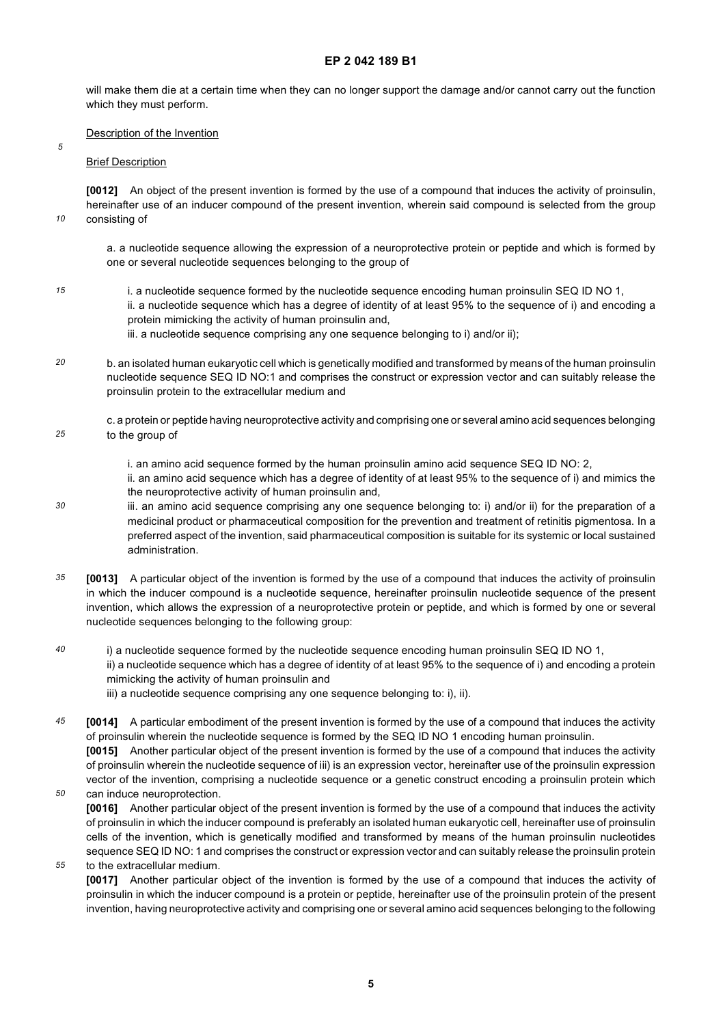will make them die at a certain time when they can no longer support the damage and/or cannot carry out the function which they must perform.

#### Description of the Invention

#### Brief Description

*5*

*10*

*15*

*55*

**[0012]** An object of the present invention is formed by the use of a compound that induces the activity of proinsulin, hereinafter use of an inducer compound of the present invention, wherein said compound is selected from the group consisting of

a. a nucleotide sequence allowing the expression of a neuroprotective protein or peptide and which is formed by one or several nucleotide sequences belonging to the group of

- i. a nucleotide sequence formed by the nucleotide sequence encoding human proinsulin SEQ ID NO 1, ii. a nucleotide sequence which has a degree of identity of at least 95% to the sequence of i) and encoding a protein mimicking the activity of human proinsulin and, iii. a nucleotide sequence comprising any one sequence belonging to i) and/or ii);
- *20* b. an isolated human eukaryotic cell which is genetically modified and transformed by means of the human proinsulin nucleotide sequence SEQ ID NO:1 and comprises the construct or expression vector and can suitably release the proinsulin protein to the extracellular medium and
- *25* c. a protein or peptide having neuroprotective activity and comprising one or several amino acid sequences belonging to the group of
	- i. an amino acid sequence formed by the human proinsulin amino acid sequence SEQ ID NO: 2,

ii. an amino acid sequence which has a degree of identity of at least 95% to the sequence of i) and mimics the the neuroprotective activity of human proinsulin and,

- *30* iii. an amino acid sequence comprising any one sequence belonging to: i) and/or ii) for the preparation of a medicinal product or pharmaceutical composition for the prevention and treatment of retinitis pigmentosa. In a preferred aspect of the invention, said pharmaceutical composition is suitable for its systemic or local sustained administration.
- *35* **[0013]** A particular object of the invention is formed by the use of a compound that induces the activity of proinsulin in which the inducer compound is a nucleotide sequence, hereinafter proinsulin nucleotide sequence of the present invention, which allows the expression of a neuroprotective protein or peptide, and which is formed by one or several nucleotide sequences belonging to the following group:
- *40* i) a nucleotide sequence formed by the nucleotide sequence encoding human proinsulin SEQ ID NO 1, ii) a nucleotide sequence which has a degree of identity of at least 95% to the sequence of i) and encoding a protein mimicking the activity of human proinsulin and
	- iii) a nucleotide sequence comprising any one sequence belonging to: i), ii).
- *45 50* **[0014]** A particular embodiment of the present invention is formed by the use of a compound that induces the activity of proinsulin wherein the nucleotide sequence is formed by the SEQ ID NO 1 encoding human proinsulin. **[0015]** Another particular object of the present invention is formed by the use of a compound that induces the activity of proinsulin wherein the nucleotide sequence of iii) is an expression vector, hereinafter use of the proinsulin expression vector of the invention, comprising a nucleotide sequence or a genetic construct encoding a proinsulin protein which

can induce neuroprotection. **[0016]** Another particular object of the present invention is formed by the use of a compound that induces the activity of proinsulin in which the inducer compound is preferably an isolated human eukaryotic cell, hereinafter use of proinsulin cells of the invention, which is genetically modified and transformed by means of the human proinsulin nucleotides sequence SEQ ID NO: 1 and comprises the construct or expression vector and can suitably release the proinsulin protein to the extracellular medium.

**[0017]** Another particular object of the invention is formed by the use of a compound that induces the activity of proinsulin in which the inducer compound is a protein or peptide, hereinafter use of the proinsulin protein of the present invention, having neuroprotective activity and comprising one or several amino acid sequences belonging to the following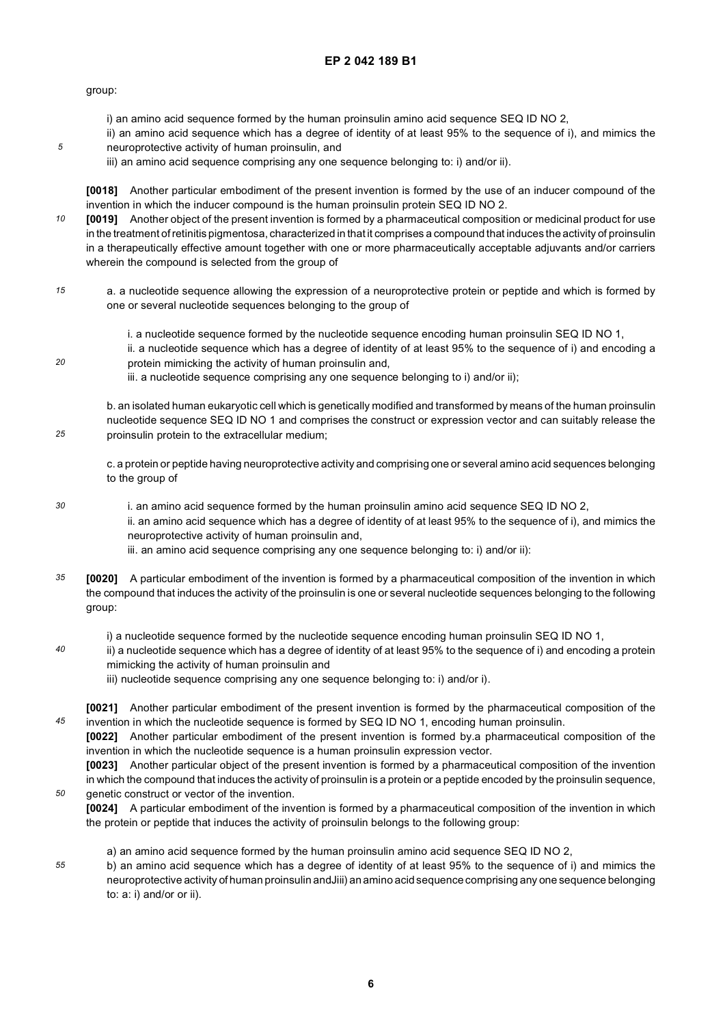group:

*5*

*20*

*25*

*40*

*45*

*50*

- i) an amino acid sequence formed by the human proinsulin amino acid sequence SEQ ID NO 2,
- ii) an amino acid sequence which has a degree of identity of at least 95% to the sequence of i), and mimics the neuroprotective activity of human proinsulin, and
- iii) an amino acid sequence comprising any one sequence belonging to: i) and/or ii).

**[0018]** Another particular embodiment of the present invention is formed by the use of an inducer compound of the invention in which the inducer compound is the human proinsulin protein SEQ ID NO 2.

*10* **[0019]** Another object of the present invention is formed by a pharmaceutical composition or medicinal product for use in the treatment of retinitis pigmentosa, characterized in that it comprises a compound that induces the activity of proinsulin in a therapeutically effective amount together with one or more pharmaceutically acceptable adjuvants and/or carriers wherein the compound is selected from the group of

- *15* a. a nucleotide sequence allowing the expression of a neuroprotective protein or peptide and which is formed by one or several nucleotide sequences belonging to the group of
	- i. a nucleotide sequence formed by the nucleotide sequence encoding human proinsulin SEQ ID NO 1,
	- ii. a nucleotide sequence which has a degree of identity of at least 95% to the sequence of i) and encoding a protein mimicking the activity of human proinsulin and,
	- iii. a nucleotide sequence comprising any one sequence belonging to i) and/or ii);

b. an isolated human eukaryotic cell which is genetically modified and transformed by means of the human proinsulin nucleotide sequence SEQ ID NO 1 and comprises the construct or expression vector and can suitably release the proinsulin protein to the extracellular medium;

c. a protein or peptide having neuroprotective activity and comprising one or several amino acid sequences belonging to the group of

- *30* i. an amino acid sequence formed by the human proinsulin amino acid sequence SEQ ID NO 2, ii. an amino acid sequence which has a degree of identity of at least 95% to the sequence of i), and mimics the neuroprotective activity of human proinsulin and,
	- iii. an amino acid sequence comprising any one sequence belonging to: i) and/or ii):
- *35* **[0020]** A particular embodiment of the invention is formed by a pharmaceutical composition of the invention in which the compound that induces the activity of the proinsulin is one or several nucleotide sequences belonging to the following group:
	- i) a nucleotide sequence formed by the nucleotide sequence encoding human proinsulin SEQ ID NO 1,
	- ii) a nucleotide sequence which has a degree of identity of at least 95% to the sequence of i) and encoding a protein mimicking the activity of human proinsulin and
		- iii) nucleotide sequence comprising any one sequence belonging to: i) and/or i).
	- **[0021]** Another particular embodiment of the present invention is formed by the pharmaceutical composition of the invention in which the nucleotide sequence is formed by SEQ ID NO 1, encoding human proinsulin.

**[0022]** Another particular embodiment of the present invention is formed by.a pharmaceutical composition of the invention in which the nucleotide sequence is a human proinsulin expression vector.

**[0023]** Another particular object of the present invention is formed by a pharmaceutical composition of the invention in which the compound that induces the activity of proinsulin is a protein or a peptide encoded by the proinsulin sequence, genetic construct or vector of the invention.

**[0024]** A particular embodiment of the invention is formed by a pharmaceutical composition of the invention in which the protein or peptide that induces the activity of proinsulin belongs to the following group:

- a) an amino acid sequence formed by the human proinsulin amino acid sequence SEQ ID NO 2,
- *55* b) an amino acid sequence which has a degree of identity of at least 95% to the sequence of i) and mimics the neuroprotective activity of human proinsulin andJiii) an amino acid sequence comprising any one sequence belonging to: a: i) and/or or ii).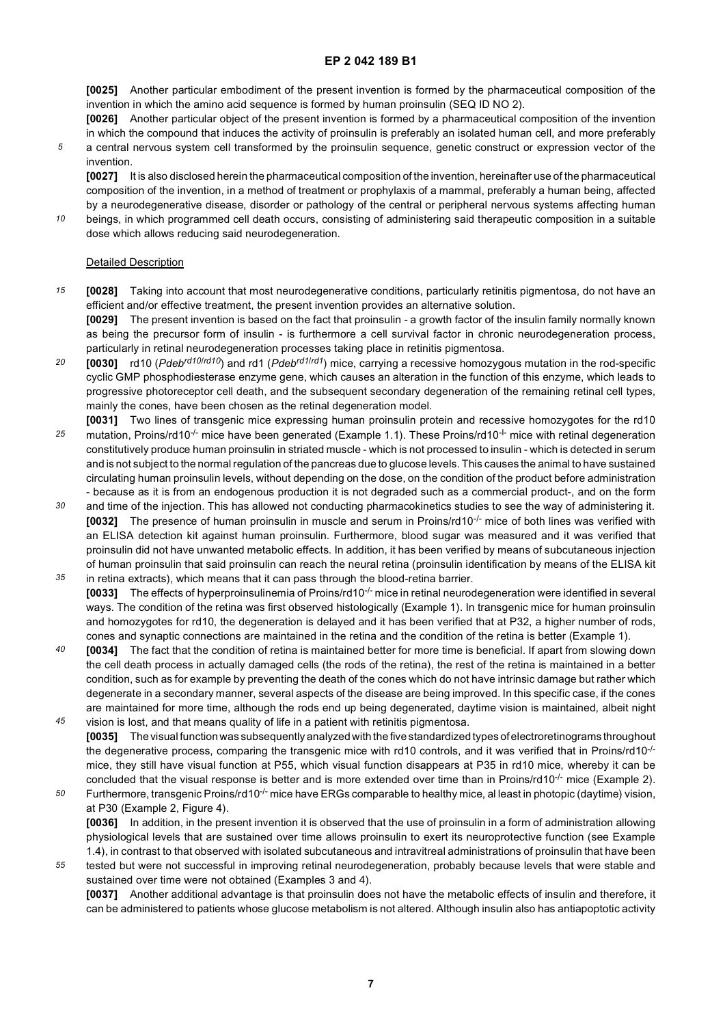**[0025]** Another particular embodiment of the present invention is formed by the pharmaceutical composition of the invention in which the amino acid sequence is formed by human proinsulin (SEQ ID NO 2).

**[0026]** Another particular object of the present invention is formed by a pharmaceutical composition of the invention in which the compound that induces the activity of proinsulin is preferably an isolated human cell, and more preferably

*5* a central nervous system cell transformed by the proinsulin sequence, genetic construct or expression vector of the invention.

**[0027]** It is also disclosed herein the pharmaceutical composition of the invention, hereinafter use of the pharmaceutical composition of the invention, in a method of treatment or prophylaxis of a mammal, preferably a human being, affected by a neurodegenerative disease, disorder or pathology of the central or peripheral nervous systems affecting human

*10* beings, in which programmed cell death occurs, consisting of administering said therapeutic composition in a suitable dose which allows reducing said neurodegeneration.

#### Detailed Description

*15* **[0028]** Taking into account that most neurodegenerative conditions, particularly retinitis pigmentosa, do not have an efficient and/or effective treatment, the present invention provides an alternative solution.

**[0029]** The present invention is based on the fact that proinsulin - a growth factor of the insulin family normally known as being the precursor form of insulin - is furthermore a cell survival factor in chronic neurodegeneration process, particularly in retinal neurodegeneration processes taking place in retinitis pigmentosa.

- *20* **[0030]** rd10 (*Pdebrd10*/*rd10*) and rd1 (*Pdebrd1*/*rd1*) mice, carrying a recessive homozygous mutation in the rod-specific cyclic GMP phosphodiesterase enzyme gene, which causes an alteration in the function of this enzyme, which leads to progressive photoreceptor cell death, and the subsequent secondary degeneration of the remaining retinal cell types, mainly the cones, have been chosen as the retinal degeneration model.
- *25* **[0031]** Two lines of transgenic mice expressing human proinsulin protein and recessive homozygotes for the rd10 mutation, Proins/rd10<sup>-/-</sup> mice have been generated (Example 1.1). These Proins/rd10<sup>-1-</sup> mice with retinal degeneration constitutively produce human proinsulin in striated muscle - which is not processed to insulin - which is detected in serum and is not subject to the normal regulation of the pancreas due to glucose levels. This causes the animal to have sustained circulating human proinsulin levels, without depending on the dose, on the condition of the product before administration - because as it is from an endogenous production it is not degraded such as a commercial product-, and on the form
- *30* and time of the injection. This has allowed not conducting pharmacokinetics studies to see the way of administering it. **[0032]** The presence of human proinsulin in muscle and serum in Proins/rd10-/- mice of both lines was verified with an ELISA detection kit against human proinsulin. Furthermore, blood sugar was measured and it was verified that proinsulin did not have unwanted metabolic effects. In addition, it has been verified by means of subcutaneous injection of human proinsulin that said proinsulin can reach the neural retina (proinsulin identification by means of the ELISA kit
- *35* in retina extracts), which means that it can pass through the blood-retina barrier. **[0033]** The effects of hyperproinsulinemia of Proins/rd10-/- mice in retinal neurodegeneration were identified in several ways. The condition of the retina was first observed histologically (Example 1). In transgenic mice for human proinsulin and homozygotes for rd10, the degeneration is delayed and it has been verified that at P32, a higher number of rods, cones and synaptic connections are maintained in the retina and the condition of the retina is better (Example 1).
- *40* **[0034]** The fact that the condition of retina is maintained better for more time is beneficial. If apart from slowing down the cell death process in actually damaged cells (the rods of the retina), the rest of the retina is maintained in a better condition, such as for example by preventing the death of the cones which do not have intrinsic damage but rather which degenerate in a secondary manner, several aspects of the disease are being improved. In this specific case, if the cones are maintained for more time, although the rods end up being degenerated, daytime vision is maintained, albeit night
- *45* vision is lost, and that means quality of life in a patient with retinitis pigmentosa. **[0035]** The visual function was subsequently analyzed with the five standardized types of electroretinograms throughout the degenerative process, comparing the transgenic mice with rd10 controls, and it was verified that in Proins/rd10<sup>-/-</sup> mice, they still have visual function at P55, which visual function disappears at P35 in rd10 mice, whereby it can be concluded that the visual response is better and is more extended over time than in Proins/rd10<sup>-/-</sup> mice (Example 2).
- *50* Furthermore, transgenic Proins/rd10<sup>-/-</sup> mice have ERGs comparable to healthy mice, al least in photopic (daytime) vision, at P30 (Example 2, Figure 4). **[0036]** In addition, in the present invention it is observed that the use of proinsulin in a form of administration allowing physiological levels that are sustained over time allows proinsulin to exert its neuroprotective function (see Example 1.4), in contrast to that observed with isolated subcutaneous and intravitreal administrations of proinsulin that have been
- *55* tested but were not successful in improving retinal neurodegeneration, probably because levels that were stable and sustained over time were not obtained (Examples 3 and 4).

**[0037]** Another additional advantage is that proinsulin does not have the metabolic effects of insulin and therefore, it can be administered to patients whose glucose metabolism is not altered. Although insulin also has antiapoptotic activity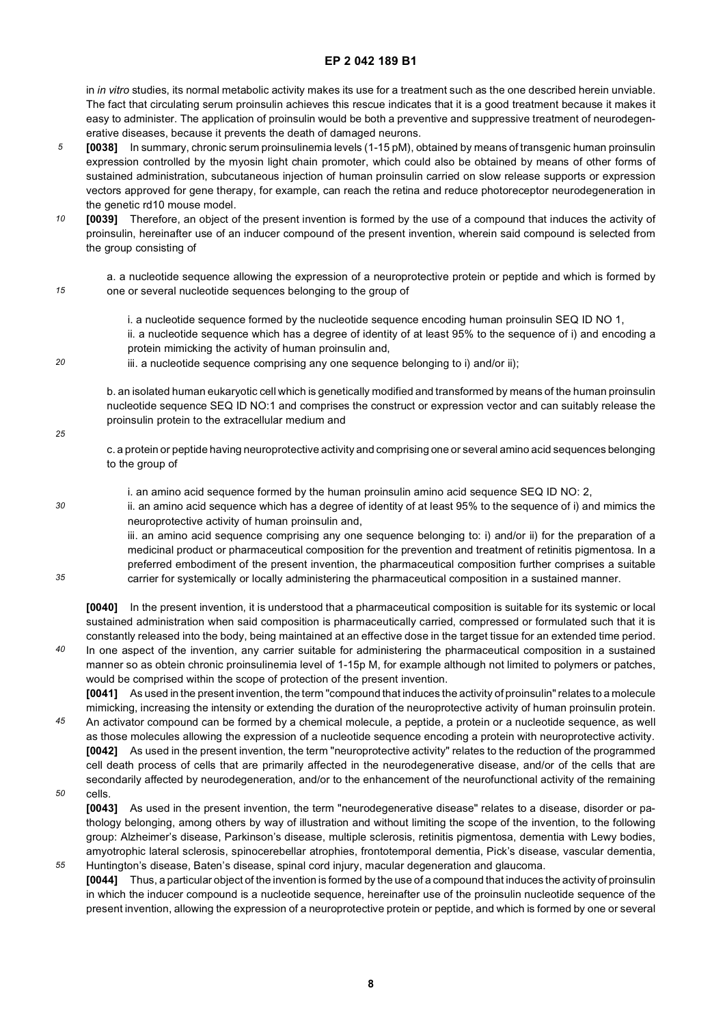in *in vitro* studies, its normal metabolic activity makes its use for a treatment such as the one described herein unviable. The fact that circulating serum proinsulin achieves this rescue indicates that it is a good treatment because it makes it easy to administer. The application of proinsulin would be both a preventive and suppressive treatment of neurodegenerative diseases, because it prevents the death of damaged neurons.

- *5* **[0038]** In summary, chronic serum proinsulinemia levels (1-15 pM), obtained by means of transgenic human proinsulin expression controlled by the myosin light chain promoter, which could also be obtained by means of other forms of sustained administration, subcutaneous injection of human proinsulin carried on slow release supports or expression vectors approved for gene therapy, for example, can reach the retina and reduce photoreceptor neurodegeneration in the genetic rd10 mouse model.
- *10* **[0039]** Therefore, an object of the present invention is formed by the use of a compound that induces the activity of proinsulin, hereinafter use of an inducer compound of the present invention, wherein said compound is selected from the group consisting of
- *15*

a. a nucleotide sequence allowing the expression of a neuroprotective protein or peptide and which is formed by one or several nucleotide sequences belonging to the group of

i. a nucleotide sequence formed by the nucleotide sequence encoding human proinsulin SEQ ID NO 1, ii. a nucleotide sequence which has a degree of identity of at least 95% to the sequence of i) and encoding a protein mimicking the activity of human proinsulin and,

*20* iii. a nucleotide sequence comprising any one sequence belonging to i) and/or ii);

> b. an isolated human eukaryotic cell which is genetically modified and transformed by means of the human proinsulin nucleotide sequence SEQ ID NO:1 and comprises the construct or expression vector and can suitably release the proinsulin protein to the extracellular medium and

- c. a protein or peptide having neuroprotective activity and comprising one or several amino acid sequences belonging to the group of
- *30*

*35*

*25*

i. an amino acid sequence formed by the human proinsulin amino acid sequence SEQ ID NO: 2,

ii. an amino acid sequence which has a degree of identity of at least 95% to the sequence of i) and mimics the neuroprotective activity of human proinsulin and,

iii. an amino acid sequence comprising any one sequence belonging to: i) and/or ii) for the preparation of a medicinal product or pharmaceutical composition for the prevention and treatment of retinitis pigmentosa. In a preferred embodiment of the present invention, the pharmaceutical composition further comprises a suitable carrier for systemically or locally administering the pharmaceutical composition in a sustained manner.

**[0040]** In the present invention, it is understood that a pharmaceutical composition is suitable for its systemic or local sustained administration when said composition is pharmaceutically carried, compressed or formulated such that it is constantly released into the body, being maintained at an effective dose in the target tissue for an extended time period.

*40* In one aspect of the invention, any carrier suitable for administering the pharmaceutical composition in a sustained manner so as obtein chronic proinsulinemia level of 1-15p M, for example although not limited to polymers or patches, would be comprised within the scope of protection of the present invention. **[0041]** As used in the present invention, the term "compound that induces the activity of proinsulin" relates to a molecule

*45* mimicking, increasing the intensity or extending the duration of the neuroprotective activity of human proinsulin protein. An activator compound can be formed by a chemical molecule, a peptide, a protein or a nucleotide sequence, as well as those molecules allowing the expression of a nucleotide sequence encoding a protein with neuroprotective activity. **[0042]** As used in the present invention, the term "neuroprotective activity" relates to the reduction of the programmed cell death process of cells that are primarily affected in the neurodegenerative disease, and/or of the cells that are secondarily affected by neurodegeneration, and/or to the enhancement of the neurofunctional activity of the remaining

*50* cells.

*55*

**[0043]** As used in the present invention, the term "neurodegenerative disease" relates to a disease, disorder or pathology belonging, among others by way of illustration and without limiting the scope of the invention, to the following group: Alzheimer's disease, Parkinson's disease, multiple sclerosis, retinitis pigmentosa, dementia with Lewy bodies, amyotrophic lateral sclerosis, spinocerebellar atrophies, frontotemporal dementia, Pick's disease, vascular dementia, Huntington's disease, Baten's disease, spinal cord injury, macular degeneration and glaucoma.

**[0044]** Thus, a particular object of the invention is formed by the use of a compound that induces the activity of proinsulin in which the inducer compound is a nucleotide sequence, hereinafter use of the proinsulin nucleotide sequence of the present invention, allowing the expression of a neuroprotective protein or peptide, and which is formed by one or several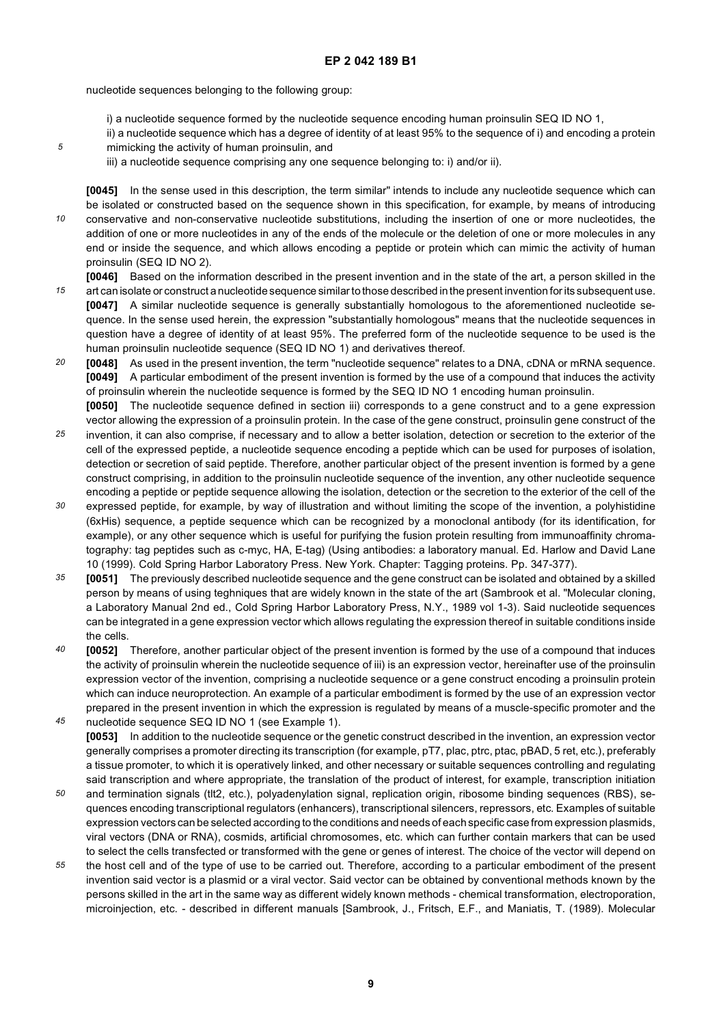nucleotide sequences belonging to the following group:

- i) a nucleotide sequence formed by the nucleotide sequence encoding human proinsulin SEQ ID NO 1,
- ii) a nucleotide sequence which has a degree of identity of at least 95% to the sequence of i) and encoding a protein mimicking the activity of human proinsulin, and
- iii) a nucleotide sequence comprising any one sequence belonging to: i) and/or ii).

*10* **[0045]** In the sense used in this description, the term similar" intends to include any nucleotide sequence which can be isolated or constructed based on the sequence shown in this specification, for example, by means of introducing conservative and non-conservative nucleotide substitutions, including the insertion of one or more nucleotides, the addition of one or more nucleotides in any of the ends of the molecule or the deletion of one or more molecules in any end or inside the sequence, and which allows encoding a peptide or protein which can mimic the activity of human proinsulin (SEQ ID NO 2).

- *15* **[0046]** Based on the information described in the present invention and in the state of the art, a person skilled in the art can isolate or construct a nucleotide sequence similar to those described in the present invention for its subsequent use. **[0047]** A similar nucleotide sequence is generally substantially homologous to the aforementioned nucleotide sequence. In the sense used herein, the expression "substantially homologous" means that the nucleotide sequences in question have a degree of identity of at least 95%. The preferred form of the nucleotide sequence to be used is the human proinsulin nucleotide sequence (SEQ ID NO 1) and derivatives thereof.
- *20* **[0048]** As used in the present invention, the term "nucleotide sequence" relates to a DNA, cDNA or mRNA sequence. **[0049]** A particular embodiment of the present invention is formed by the use of a compound that induces the activity of proinsulin wherein the nucleotide sequence is formed by the SEQ ID NO 1 encoding human proinsulin. **[0050]** The nucleotide sequence defined in section iii) corresponds to a gene construct and to a gene expression
- *25* vector allowing the expression of a proinsulin protein. In the case of the gene construct, proinsulin gene construct of the invention, it can also comprise, if necessary and to allow a better isolation, detection or secretion to the exterior of the cell of the expressed peptide, a nucleotide sequence encoding a peptide which can be used for purposes of isolation, detection or secretion of said peptide. Therefore, another particular object of the present invention is formed by a gene construct comprising, in addition to the proinsulin nucleotide sequence of the invention, any other nucleotide sequence
- *30* encoding a peptide or peptide sequence allowing the isolation, detection or the secretion to the exterior of the cell of the expressed peptide, for example, by way of illustration and without limiting the scope of the invention, a polyhistidine (6xHis) sequence, a peptide sequence which can be recognized by a monoclonal antibody (for its identification, for example), or any other sequence which is useful for purifying the fusion protein resulting from immunoaffinity chromatography: tag peptides such as c-myc, HA, E-tag) (Using antibodies: a laboratory manual. Ed. Harlow and David Lane 10 (1999). Cold Spring Harbor Laboratory Press. New York. Chapter: Tagging proteins. Pp. 347-377).
- *35* **[0051]** The previously described nucleotide sequence and the gene construct can be isolated and obtained by a skilled person by means of using teghniques that are widely known in the state of the art (Sambrook et al. "Molecular cloning, a Laboratory Manual 2nd ed., Cold Spring Harbor Laboratory Press, N.Y., 1989 vol 1-3). Said nucleotide sequences can be integrated in a gene expression vector which allows regulating the expression thereof in suitable conditions inside the cells.
- *40 45* **[0052]** Therefore, another particular object of the present invention is formed by the use of a compound that induces the activity of proinsulin wherein the nucleotide sequence of iii) is an expression vector, hereinafter use of the proinsulin expression vector of the invention, comprising a nucleotide sequence or a gene construct encoding a proinsulin protein which can induce neuroprotection. An example of a particular embodiment is formed by the use of an expression vector prepared in the present invention in which the expression is regulated by means of a muscle-specific promoter and the
- nucleotide sequence SEQ ID NO 1 (see Example 1). **[0053]** In addition to the nucleotide sequence or the genetic construct described in the invention, an expression vector generally comprises a promoter directing its transcription (for example, pT7, plac, ptrc, ptac, pBAD, 5 ret, etc.), preferably a tissue promoter, to which it is operatively linked, and other necessary or suitable sequences controlling and regulating said transcription and where appropriate, the translation of the product of interest, for example, transcription initiation
- *50* and termination signals (tlt2, etc.), polyadenylation signal, replication origin, ribosome binding sequences (RBS), sequences encoding transcriptional regulators (enhancers), transcriptional silencers, repressors, etc. Examples of suitable expression vectors can be selected according to the conditions and needs of each specific case from expression plasmids, viral vectors (DNA or RNA), cosmids, artificial chromosomes, etc. which can further contain markers that can be used to select the cells transfected or transformed with the gene or genes of interest. The choice of the vector will depend on
- *55* the host cell and of the type of use to be carried out. Therefore, according to a particular embodiment of the present invention said vector is a plasmid or a viral vector. Said vector can be obtained by conventional methods known by the persons skilled in the art in the same way as different widely known methods - chemical transformation, electroporation, microinjection, etc. - described in different manuals [Sambrook, J., Fritsch, E.F., and Maniatis, T. (1989). Molecular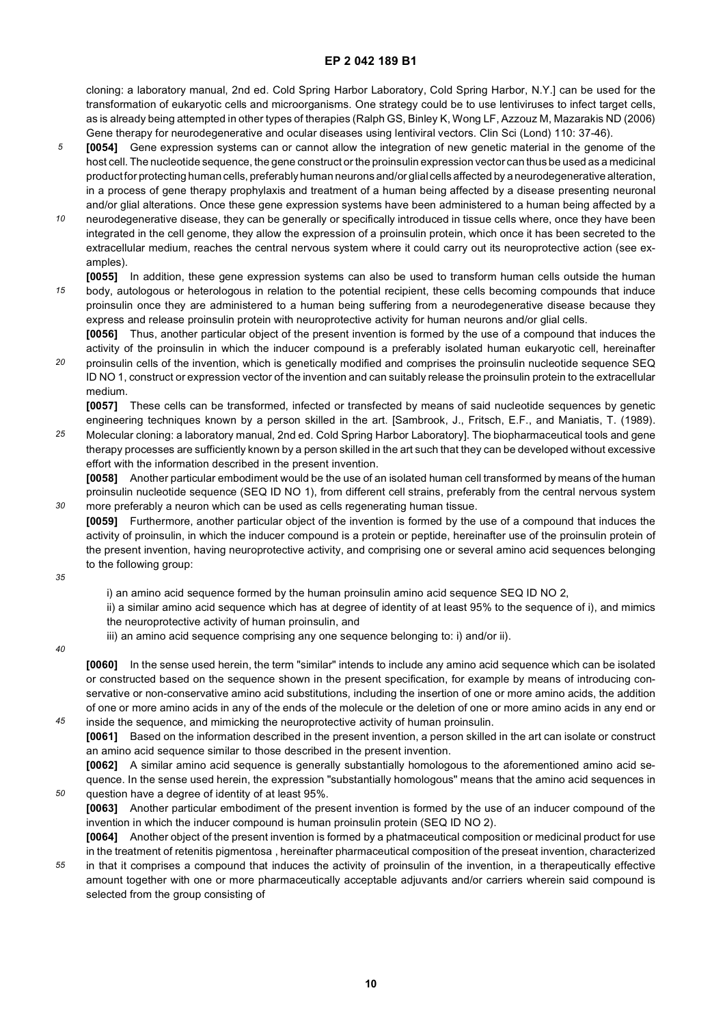cloning: a laboratory manual, 2nd ed. Cold Spring Harbor Laboratory, Cold Spring Harbor, N.Y.] can be used for the transformation of eukaryotic cells and microorganisms. One strategy could be to use lentiviruses to infect target cells, as is already being attempted in other types of therapies (Ralph GS, Binley K, Wong LF, Azzouz M, Mazarakis ND (2006) Gene therapy for neurodegenerative and ocular diseases using lentiviral vectors. Clin Sci (Lond) 110: 37-46).

- *5* **[0054]** Gene expression systems can or cannot allow the integration of new genetic material in the genome of the host cell. The nucleotide sequence, the gene construct or the proinsulin expression vector can thus be used as a medicinal product for protecting human cells, preferably human neurons and/or glial cells affected by a neurodegenerative alteration, in a process of gene therapy prophylaxis and treatment of a human being affected by a disease presenting neuronal and/or glial alterations. Once these gene expression systems have been administered to a human being affected by a
- *10* neurodegenerative disease, they can be generally or specifically introduced in tissue cells where, once they have been integrated in the cell genome, they allow the expression of a proinsulin protein, which once it has been secreted to the extracellular medium, reaches the central nervous system where it could carry out its neuroprotective action (see examples).
- *15* **[0055]** In addition, these gene expression systems can also be used to transform human cells outside the human body, autologous or heterologous in relation to the potential recipient, these cells becoming compounds that induce proinsulin once they are administered to a human being suffering from a neurodegenerative disease because they express and release proinsulin protein with neuroprotective activity for human neurons and/or glial cells.
- *20* **[0056]** Thus, another particular object of the present invention is formed by the use of a compound that induces the activity of the proinsulin in which the inducer compound is a preferably isolated human eukaryotic cell, hereinafter proinsulin cells of the invention, which is genetically modified and comprises the proinsulin nucleotide sequence SEQ ID NO 1, construct or expression vector of the invention and can suitably release the proinsulin protein to the extracellular

medium. **[0057]** These cells can be transformed, infected or transfected by means of said nucleotide sequences by genetic

*25* engineering techniques known by a person skilled in the art. [Sambrook, J., Fritsch, E.F., and Maniatis, T. (1989). Molecular cloning: a laboratory manual, 2nd ed. Cold Spring Harbor Laboratory]. The biopharmaceutical tools and gene therapy processes are sufficiently known by a person skilled in the art such that they can be developed without excessive effort with the information described in the present invention.

**[0058]** Another particular embodiment would be the use of an isolated human cell transformed by means of the human proinsulin nucleotide sequence (SEQ ID NO 1), from different cell strains, preferably from the central nervous system more preferably a neuron which can be used as cells regenerating human tissue.

**[0059]** Furthermore, another particular object of the invention is formed by the use of a compound that induces the activity of proinsulin, in which the inducer compound is a protein or peptide, hereinafter use of the proinsulin protein of the present invention, having neuroprotective activity, and comprising one or several amino acid sequences belonging to the following group:

*35*

*30*

i) an amino acid sequence formed by the human proinsulin amino acid sequence SEQ ID NO 2,

ii) a similar amino acid sequence which has at degree of identity of at least 95% to the sequence of i), and mimics the neuroprotective activity of human proinsulin, and

iii) an amino acid sequence comprising any one sequence belonging to: i) and/or ii).

#### *40*

*45*

*50*

*55*

**[0060]** In the sense used herein, the term "similar" intends to include any amino acid sequence which can be isolated or constructed based on the sequence shown in the present specification, for example by means of introducing conservative or non-conservative amino acid substitutions, including the insertion of one or more amino acids, the addition of one or more amino acids in any of the ends of the molecule or the deletion of one or more amino acids in any end or inside the sequence, and mimicking the neuroprotective activity of human proinsulin.

**[0061]** Based on the information described in the present invention, a person skilled in the art can isolate or construct an amino acid sequence similar to those described in the present invention.

**[0062]** A similar amino acid sequence is generally substantially homologous to the aforementioned amino acid sequence. In the sense used herein, the expression "substantially homologous" means that the amino acid sequences in question have a degree of identity of at least 95%.

**[0063]** Another particular embodiment of the present invention is formed by the use of an inducer compound of the invention in which the inducer compound is human proinsulin protein (SEQ ID NO 2).

**[0064]** Another object of the present invention is formed by a phatmaceutical composition or medicinal product for use in the treatment of retenitis pigmentosa , hereinafter pharmaceutical composition of the preseat invention, characterized in that it comprises a compound that induces the activity of proinsulin of the invention, in a therapeutically effective

amount together with one or more pharmaceutically acceptable adjuvants and/or carriers wherein said compound is selected from the group consisting of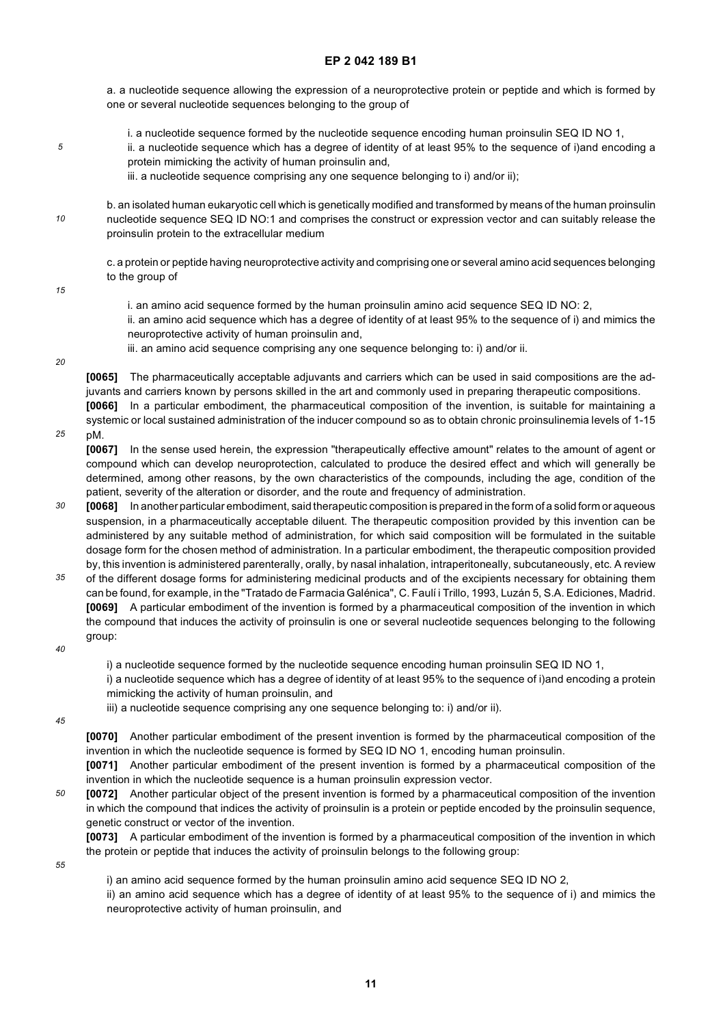a. a nucleotide sequence allowing the expression of a neuroprotective protein or peptide and which is formed by one or several nucleotide sequences belonging to the group of

- i. a nucleotide sequence formed by the nucleotide sequence encoding human proinsulin SEQ ID NO 1,
	- ii. a nucleotide sequence which has a degree of identity of at least 95% to the sequence of i)and encoding a protein mimicking the activity of human proinsulin and,
	- iii. a nucleotide sequence comprising any one sequence belonging to i) and/or ii);

*10* b. an isolated human eukaryotic cell which is genetically modified and transformed by means of the human proinsulin nucleotide sequence SEQ ID NO:1 and comprises the construct or expression vector and can suitably release the proinsulin protein to the extracellular medium

c. a protein or peptide having neuroprotective activity and comprising one or several amino acid sequences belonging to the group of

*15*

*5*

i. an amino acid sequence formed by the human proinsulin amino acid sequence SEQ ID NO: 2,

ii. an amino acid sequence which has a degree of identity of at least 95% to the sequence of i) and mimics the neuroprotective activity of human proinsulin and,

iii. an amino acid sequence comprising any one sequence belonging to: i) and/or ii.

*20*

**[0065]** The pharmaceutically acceptable adjuvants and carriers which can be used in said compositions are the adjuvants and carriers known by persons skilled in the art and commonly used in preparing therapeutic compositions. **[0066]** In a particular embodiment, the pharmaceutical composition of the invention, is suitable for maintaining a

*25* systemic or local sustained administration of the inducer compound so as to obtain chronic proinsulinemia levels of 1-15 pM.

**[0067]** In the sense used herein, the expression "therapeutically effective amount" relates to the amount of agent or compound which can develop neuroprotection, calculated to produce the desired effect and which will generally be determined, among other reasons, by the own characteristics of the compounds, including the age, condition of the patient, severity of the alteration or disorder, and the route and frequency of administration.

- *30* **[0068]** In another particular embodiment, said therapeutic composition is prepared in the form of a solid form or aqueous suspension, in a pharmaceutically acceptable diluent. The therapeutic composition provided by this invention can be administered by any suitable method of administration, for which said composition will be formulated in the suitable dosage form for the chosen method of administration. In a particular embodiment, the therapeutic composition provided by, this invention is administered parenterally, orally, by nasal inhalation, intraperitoneally, subcutaneously, etc. A review
- *35* of the different dosage forms for administering medicinal products and of the excipients necessary for obtaining them can be found, for example, in the "Tratado de Farmacia Galénica", C. Faulí i Trillo, 1993, Luzán 5, S.A. Ediciones, Madrid. **[0069]** A particular embodiment of the invention is formed by a pharmaceutical composition of the invention in which the compound that induces the activity of proinsulin is one or several nucleotide sequences belonging to the following group:
- *40*

i) a nucleotide sequence formed by the nucleotide sequence encoding human proinsulin SEQ ID NO 1,

i) a nucleotide sequence which has a degree of identity of at least 95% to the sequence of i)and encoding a protein mimicking the activity of human proinsulin, and

- iii) a nucleotide sequence comprising any one sequence belonging to: i) and/or ii).
- *45*

**[0070]** Another particular embodiment of the present invention is formed by the pharmaceutical composition of the invention in which the nucleotide sequence is formed by SEQ ID NO 1, encoding human proinsulin.

**[0071]** Another particular embodiment of the present invention is formed by a pharmaceutical composition of the invention in which the nucleotide sequence is a human proinsulin expression vector.

*50* **[0072]** Another particular object of the present invention is formed by a pharmaceutical composition of the invention in which the compound that indices the activity of proinsulin is a protein or peptide encoded by the proinsulin sequence, genetic construct or vector of the invention.

**[0073]** A particular embodiment of the invention is formed by a pharmaceutical composition of the invention in which the protein or peptide that induces the activity of proinsulin belongs to the following group:

*55*

i) an amino acid sequence formed by the human proinsulin amino acid sequence SEQ ID NO 2,

ii) an amino acid sequence which has a degree of identity of at least 95% to the sequence of i) and mimics the neuroprotective activity of human proinsulin, and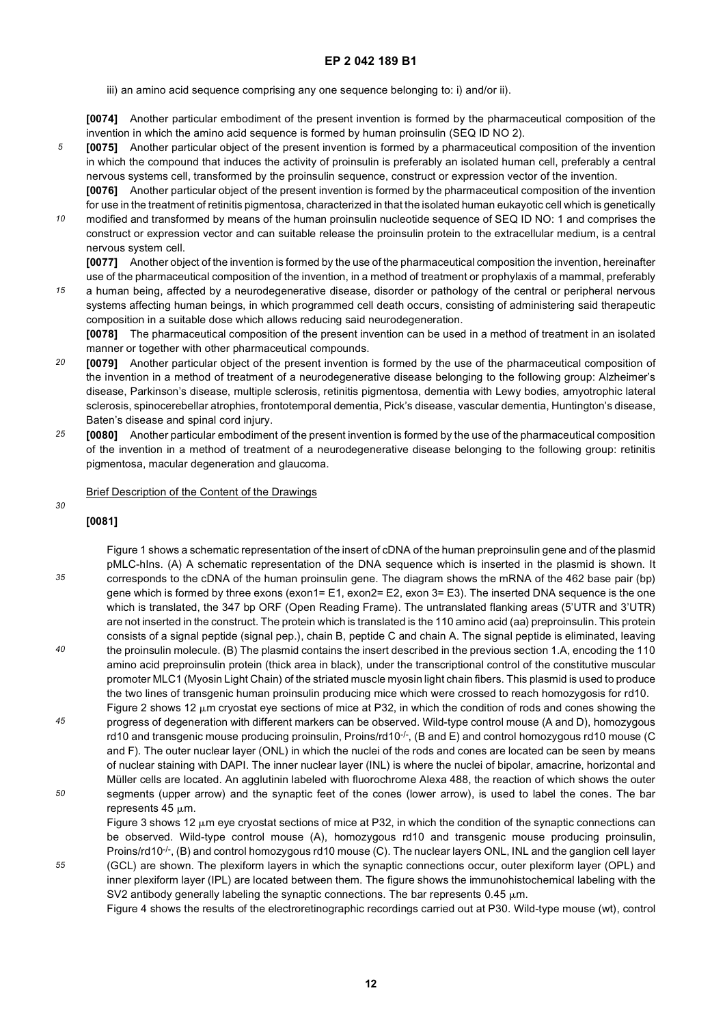iii) an amino acid sequence comprising any one sequence belonging to: i) and/or ii).

**[0074]** Another particular embodiment of the present invention is formed by the pharmaceutical composition of the invention in which the amino acid sequence is formed by human proinsulin (SEQ ID NO 2).

*5* **[0075]** Another particular object of the present invention is formed by a pharmaceutical composition of the invention in which the compound that induces the activity of proinsulin is preferably an isolated human cell, preferably a central nervous systems cell, transformed by the proinsulin sequence, construct or expression vector of the invention.

**[0076]** Another particular object of the present invention is formed by the pharmaceutical composition of the invention for use in the treatment of retinitis pigmentosa, characterized in that the isolated human eukayotic cell which is genetically modified and transformed by means of the human proinsulin nucleotide sequence of SEQ ID NO: 1 and comprises the

construct or expression vector and can suitable release the proinsulin protein to the extracellular medium, is a central nervous system cell.

**[0077]** Another object of the invention is formed by the use of the pharmaceutical composition the invention, hereinafter use of the pharmaceutical composition of the invention, in a method of treatment or prophylaxis of a mammal, preferably

*15* a human being, affected by a neurodegenerative disease, disorder or pathology of the central or peripheral nervous systems affecting human beings, in which programmed cell death occurs, consisting of administering said therapeutic composition in a suitable dose which allows reducing said neurodegeneration.

**[0078]** The pharmaceutical composition of the present invention can be used in a method of treatment in an isolated manner or together with other pharmaceutical compounds.

- *20* **[0079]** Another particular object of the present invention is formed by the use of the pharmaceutical composition of the invention in a method of treatment of a neurodegenerative disease belonging to the following group: Alzheimer's disease, Parkinson's disease, multiple sclerosis, retinitis pigmentosa, dementia with Lewy bodies, amyotrophic lateral sclerosis, spinocerebellar atrophies, frontotemporal dementia, Pick's disease, vascular dementia, Huntington's disease, Baten's disease and spinal cord injury.
- *25* **[0080]** Another particular embodiment of the present invention is formed by the use of the pharmaceutical composition of the invention in a method of treatment of a neurodegenerative disease belonging to the following group: retinitis pigmentosa, macular degeneration and glaucoma.

#### Brief Description of the Content of the Drawings

## **[0081]**

*30*

*55*

*10*

- *35 40* Figure 1 shows a schematic representation of the insert of cDNA of the human preproinsulin gene and of the plasmid pMLC-hIns. (A) A schematic representation of the DNA sequence which is inserted in the plasmid is shown. It corresponds to the cDNA of the human proinsulin gene. The diagram shows the mRNA of the 462 base pair (bp) gene which is formed by three exons (exon1= E1, exon2= E2, exon 3= E3). The inserted DNA sequence is the one which is translated, the 347 bp ORF (Open Reading Frame). The untranslated flanking areas (5'UTR and 3'UTR) are not inserted in the construct. The protein which is translated is the 110 amino acid (aa) preproinsulin. This protein consists of a signal peptide (signal pep.), chain B, peptide C and chain A. The signal peptide is eliminated, leaving the proinsulin molecule. (B) The plasmid contains the insert described in the previous section 1.A, encoding the 110 amino acid preproinsulin protein (thick area in black), under the transcriptional control of the constitutive muscular promoter MLC1 (Myosin Light Chain) of the striated muscle myosin light chain fibers. This plasmid is used to produce the two lines of transgenic human proinsulin producing mice which were crossed to reach homozygosis for rd10.
- *45 50* Figure 2 shows 12  $\mu$ m cryostat eye sections of mice at P32, in which the condition of rods and cones showing the progress of degeneration with different markers can be observed. Wild-type control mouse (A and D), homozygous rd10 and transgenic mouse producing proinsulin, Proins/rd10<sup>-/-</sup>, (B and E) and control homozygous rd10 mouse (C and F). The outer nuclear layer (ONL) in which the nuclei of the rods and cones are located can be seen by means of nuclear staining with DAPI. The inner nuclear layer (INL) is where the nuclei of bipolar, amacrine, horizontal and Müller cells are located. An agglutinin labeled with fluorochrome Alexa 488, the reaction of which shows the outer segments (upper arrow) and the synaptic feet of the cones (lower arrow), is used to label the cones. The bar represents  $45 \mu m$ .

Figure 3 shows 12  $\mu$ m eye cryostat sections of mice at P32, in which the condition of the synaptic connections can be observed. Wild-type control mouse (A), homozygous rd10 and transgenic mouse producing proinsulin, Proins/rd10<sup>-/-</sup>, (B) and control homozygous rd10 mouse (C). The nuclear layers ONL, INL and the ganglion cell layer (GCL) are shown. The plexiform layers in which the synaptic connections occur, outer plexiform layer (OPL) and

inner plexiform layer (IPL) are located between them. The figure shows the immunohistochemical labeling with the SV2 antibody generally labeling the synaptic connections. The bar represents 0.45  $\mu$ m.

Figure 4 shows the results of the electroretinographic recordings carried out at P30. Wild-type mouse (wt), control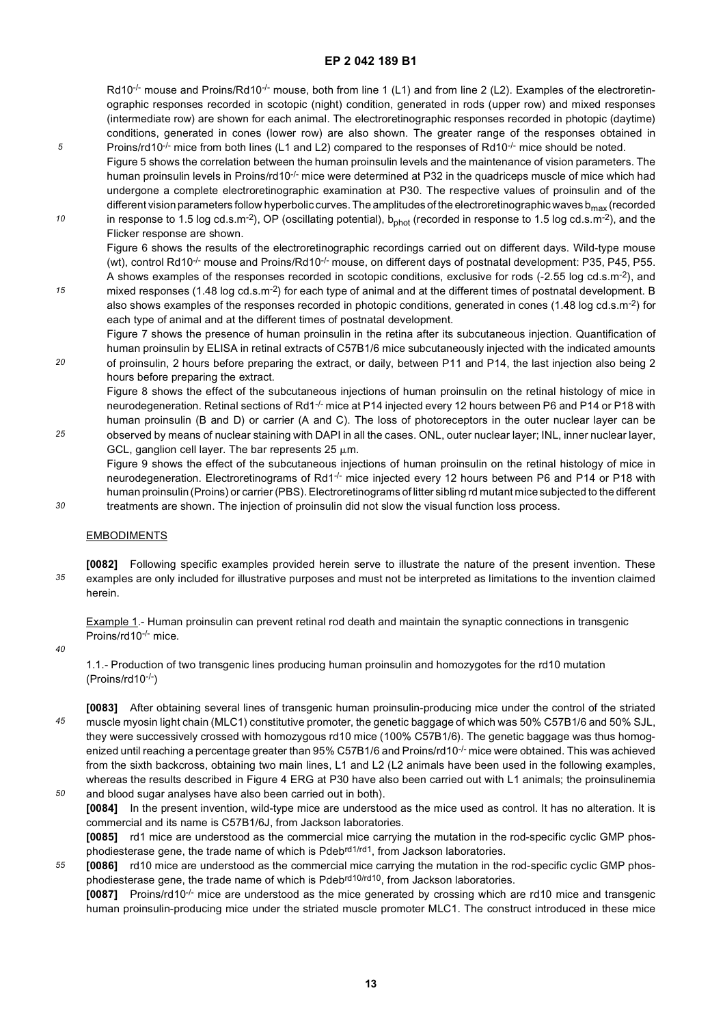Rd10<sup>-/-</sup> mouse and Proins/Rd10<sup>-/-</sup> mouse, both from line 1 (L1) and from line 2 (L2). Examples of the electroretinographic responses recorded in scotopic (night) condition, generated in rods (upper row) and mixed responses (intermediate row) are shown for each animal. The electroretinographic responses recorded in photopic (daytime) conditions, generated in cones (lower row) are also shown. The greater range of the responses obtained in Proins/rd10<sup>-/-</sup> mice from both lines (L1 and L2) compared to the responses of Rd10<sup>-/-</sup> mice should be noted.

Figure 5 shows the correlation between the human proinsulin levels and the maintenance of vision parameters. The human proinsulin levels in Proins/rd10 $\cdot$ - mice were determined at P32 in the quadriceps muscle of mice which had undergone a complete electroretinographic examination at P30. The respective values of proinsulin and of the different vision parameters follow hyperbolic curves. The amplitudes of the electroretinographic waves b<sub>max</sub> (recorded

*10* in response to 1.5 log cd.s.m<sup>-2</sup>), OP (oscillating potential),  $b_{\text{phot}}$  (recorded in response to 1.5 log cd.s.m<sup>-2</sup>), and the Flicker response are shown. Figure 6 shows the results of the electroretinographic recordings carried out on different days. Wild-type mouse (wt), control Rd10-/- mouse and Proins/Rd10-/- mouse, on different days of postnatal development: P35, P45, P55.

- *15* A shows examples of the responses recorded in scotopic conditions, exclusive for rods (-2.55 log cd.s.m-2), and mixed responses (1.48 log cd.s.m<sup>-2</sup>) for each type of animal and at the different times of postnatal development. B also shows examples of the responses recorded in photopic conditions, generated in cones (1.48 log cd.s.m-2) for each type of animal and at the different times of postnatal development.
- *20* Figure 7 shows the presence of human proinsulin in the retina after its subcutaneous injection. Quantification of human proinsulin by ELISA in retinal extracts of C57B1/6 mice subcutaneously injected with the indicated amounts of proinsulin, 2 hours before preparing the extract, or daily, between P11 and P14, the last injection also being 2 hours before preparing the extract.

Figure 8 shows the effect of the subcutaneous injections of human proinsulin on the retinal histology of mice in neurodegeneration. Retinal sections of Rd1-/- mice at P14 injected every 12 hours between P6 and P14 or P18 with human proinsulin (B and D) or carrier (A and C). The loss of photoreceptors in the outer nuclear layer can be observed by means of nuclear staining with DAPI in all the cases. ONL, outer nuclear layer; INL, inner nuclear layer, GCL, ganglion cell layer. The bar represents 25  $\mu$ m.

Figure 9 shows the effect of the subcutaneous injections of human proinsulin on the retinal histology of mice in neurodegeneration. Electroretinograms of Rd1<sup>-/-</sup> mice injected every 12 hours between P6 and P14 or P18 with human proinsulin (Proins) or carrier (PBS). Electroretinograms of litter sibling rd mutant mice subjected to the different treatments are shown. The injection of proinsulin did not slow the visual function loss process.

#### **EMBODIMENTS**

*35* **[0082]** Following specific examples provided herein serve to illustrate the nature of the present invention. These examples are only included for illustrative purposes and must not be interpreted as limitations to the invention claimed herein.

Example 1.- Human proinsulin can prevent retinal rod death and maintain the synaptic connections in transgenic Proins/rd10<sup>-/-</sup> mice.

*40*

*25*

*30*

*5*

1.1.- Production of two transgenic lines producing human proinsulin and homozygotes for the rd10 mutation (Proins/rd10-/-)

- *45 50* **[0083]** After obtaining several lines of transgenic human proinsulin-producing mice under the control of the striated muscle myosin light chain (MLC1) constitutive promoter, the genetic baggage of which was 50% C57B1/6 and 50% SJL, they were successively crossed with homozygous rd10 mice (100% C57B1/6). The genetic baggage was thus homogenized until reaching a percentage greater than 95% C57B1/6 and Proins/rd10<sup>-/-</sup> mice were obtained. This was achieved from the sixth backcross, obtaining two main lines, L1 and L2 (L2 animals have been used in the following examples, whereas the results described in Figure 4 ERG at P30 have also been carried out with L1 animals; the proinsulinemia
- and blood sugar analyses have also been carried out in both). **[0084]** In the present invention, wild-type mice are understood as the mice used as control. It has no alteration. It is commercial and its name is C57B1/6J, from Jackson laboratories. **[0085]** rd1 mice are understood as the commercial mice carrying the mutation in the rod-specific cyclic GMP phosphodiesterase gene, the trade name of which is Pdeb<sup>rd1/rd1</sup>, from Jackson laboratories.
- *55* **[0086]** rd10 mice are understood as the commercial mice carrying the mutation in the rod-specific cyclic GMP phosphodiesterase gene, the trade name of which is Pdebrd10/rd10, from Jackson laboratories.

**[0087]** Proins/rd10-/- mice are understood as the mice generated by crossing which are rd10 mice and transgenic human proinsulin-producing mice under the striated muscle promoter MLC1. The construct introduced in these mice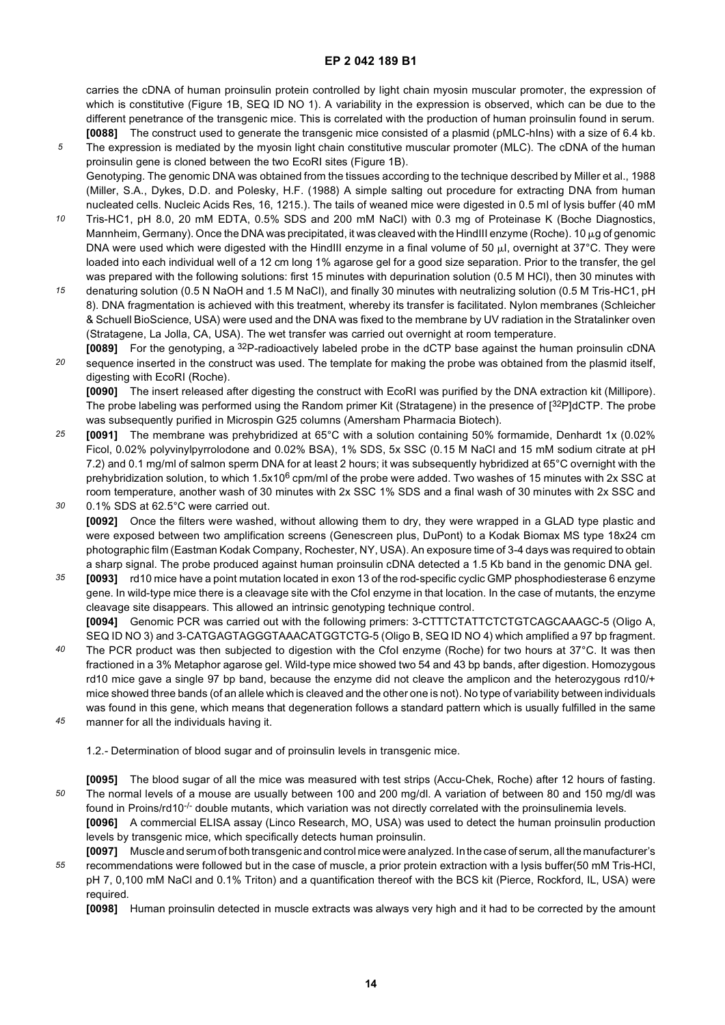carries the cDNA of human proinsulin protein controlled by light chain myosin muscular promoter, the expression of which is constitutive (Figure 1B, SEQ ID NO 1). A variability in the expression is observed, which can be due to the different penetrance of the transgenic mice. This is correlated with the production of human proinsulin found in serum. **[0088]** The construct used to generate the transgenic mice consisted of a plasmid (pMLC-hIns) with a size of 6.4 kb.

- *5* The expression is mediated by the myosin light chain constitutive muscular promoter (MLC). The cDNA of the human proinsulin gene is cloned between the two EcoRI sites (Figure 1B). Genotyping. The genomic DNA was obtained from the tissues according to the technique described by Miller et al., 1988 (Miller, S.A., Dykes, D.D. and Polesky, H.F. (1988) A simple salting out procedure for extracting DNA from human nucleated cells. Nucleic Acids Res, 16, 1215.). The tails of weaned mice were digested in 0.5 ml of lysis buffer (40 mM
- *10* Tris-HC1, pH 8.0, 20 mM EDTA, 0.5% SDS and 200 mM NaCl) with 0.3 mg of Proteinase K (Boche Diagnostics, Mannheim, Germany). Once the DNA was precipitated, it was cleaved with the HindIII enzyme (Roche). 10  $\mu$ g of genomic DNA were used which were digested with the HindIII enzyme in a final volume of 50  $\mu$ I, overnight at 37°C. They were loaded into each individual well of a 12 cm long 1% agarose gel for a good size separation. Prior to the transfer, the gel was prepared with the following solutions: first 15 minutes with depurination solution (0.5 M HCl), then 30 minutes with
- *15* denaturing solution (0.5 N NaOH and 1.5 M NaCl), and finally 30 minutes with neutralizing solution (0.5 M Tris-HC1, pH 8). DNA fragmentation is achieved with this treatment, whereby its transfer is facilitated. Nylon membranes (Schleicher & Schuell BioScience, USA) were used and the DNA was fixed to the membrane by UV radiation in the Stratalinker oven (Stratagene, La Jolla, CA, USA). The wet transfer was carried out overnight at room temperature.
- *20* **[0089]** For the genotyping, a 32P-radioactively labeled probe in the dCTP base against the human proinsulin cDNA sequence inserted in the construct was used. The template for making the probe was obtained from the plasmid itself, digesting with EcoRI (Roche).

**[0090]** The insert released after digesting the construct with EcoRI was purified by the DNA extraction kit (Millipore). The probe labeling was performed using the Random primer Kit (Stratagene) in the presence of [32P]dCTP. The probe was subsequently purified in Microspin G25 columns (Amersham Pharmacia Biotech).

- *25 30* **[0091]** The membrane was prehybridized at 65°C with a solution containing 50% formamide, Denhardt 1x (0.02% Ficol, 0.02% polyvinylpyrrolodone and 0.02% BSA), 1% SDS, 5x SSC (0.15 M NaCl and 15 mM sodium citrate at pH 7.2) and 0.1 mg/ml of salmon sperm DNA for at least 2 hours; it was subsequently hybridized at 65°C overnight with the prehybridization solution, to which  $1.5x10^6$  cpm/ml of the probe were added. Two washes of 15 minutes with 2x SSC at room temperature, another wash of 30 minutes with 2x SSC 1% SDS and a final wash of 30 minutes with 2x SSC and 0.1% SDS at 62.5°C were carried out.
	- **[0092]** Once the filters were washed, without allowing them to dry, they were wrapped in a GLAD type plastic and were exposed between two amplification screens (Genescreen plus, DuPont) to a Kodak Biomax MS type 18x24 cm photographic film (Eastman Kodak Company, Rochester, NY, USA). An exposure time of 3-4 days was required to obtain a sharp signal. The probe produced against human proinsulin cDNA detected a 1.5 Kb band in the genomic DNA gel.
- *35* **[0093]** rd10 mice have a point mutation located in exon 13 of the rod-specific cyclic GMP phosphodiesterase 6 enzyme gene. In wild-type mice there is a cleavage site with the CfoI enzyme in that location. In the case of mutants, the enzyme cleavage site disappears. This allowed an intrinsic genotyping technique control. **[0094]** Genomic PCR was carried out with the following primers: 3-CTTTCTATTCTCTGTCAGCAAAGC-5 (Oligo A, SEQ ID NO 3) and 3-CATGAGTAGGGTAAACATGGTCTG-5 (Oligo B, SEQ ID NO 4) which amplified a 97 bp fragment.
- *40* The PCR product was then subjected to digestion with the CfoI enzyme (Roche) for two hours at 37°C. It was then fractioned in a 3% Metaphor agarose gel. Wild-type mice showed two 54 and 43 bp bands, after digestion. Homozygous rd10 mice gave a single 97 bp band, because the enzyme did not cleave the amplicon and the heterozygous rd10/+ mice showed three bands (of an allele which is cleaved and the other one is not). No type of variability between individuals was found in this gene, which means that degeneration follows a standard pattern which is usually fulfilled in the same
- *45* manner for all the individuals having it.
	- 1.2.- Determination of blood sugar and of proinsulin levels in transgenic mice.
- *50* **[0095]** The blood sugar of all the mice was measured with test strips (Accu-Chek, Roche) after 12 hours of fasting. The normal levels of a mouse are usually between 100 and 200 mg/dl. A variation of between 80 and 150 mg/dl was found in Proins/rd10 $\sim$  double mutants, which variation was not directly correlated with the proinsulinemia levels. **[0096]** A commercial ELISA assay (Linco Research, MO, USA) was used to detect the human proinsulin production

*55* levels by transgenic mice, which specifically detects human proinsulin. **[0097]** Muscle and serum of both transgenic and control mice were analyzed. In the case of serum, all the manufacturer's recommendations were followed but in the case of muscle, a prior protein extraction with a lysis buffer(50 mM Tris-HCl, pH 7, 0,100 mM NaCl and 0.1% Triton) and a quantification thereof with the BCS kit (Pierce, Rockford, IL, USA) were required.

**[0098]** Human proinsulin detected in muscle extracts was always very high and it had to be corrected by the amount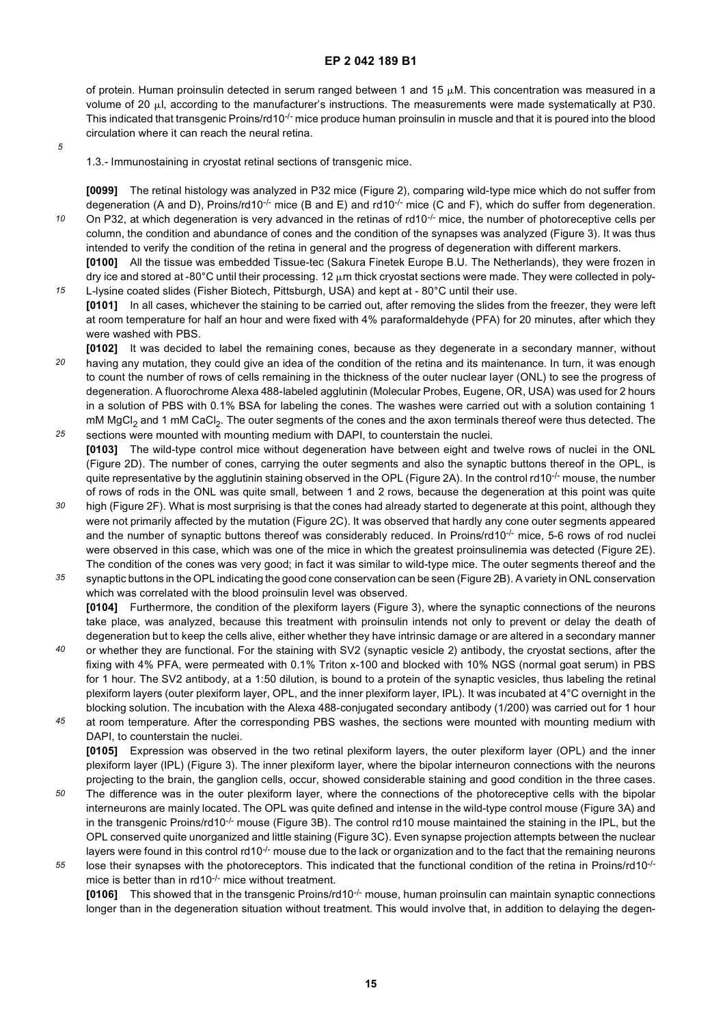of protein. Human proinsulin detected in serum ranged between 1 and 15  $\mu$ M. This concentration was measured in a volume of 20  $\mu$ l, according to the manufacturer's instructions. The measurements were made systematically at P30. This indicated that transgenic Proins/rd10<sup>-/-</sup> mice produce human proinsulin in muscle and that it is poured into the blood circulation where it can reach the neural retina.

*5*

*15*

1.3.- Immunostaining in cryostat retinal sections of transgenic mice.

**[0099]** The retinal histology was analyzed in P32 mice (Figure 2), comparing wild-type mice which do not suffer from degeneration (A and D), Proins/rd10<sup>-/-</sup> mice (B and E) and rd10<sup>-/-</sup> mice (C and F), which do suffer from degeneration.

*10* On P32, at which degeneration is very advanced in the retinas of  $rd10^{-/-}$  mice, the number of photoreceptive cells per column, the condition and abundance of cones and the condition of the synapses was analyzed (Figure 3). It was thus intended to verify the condition of the retina in general and the progress of degeneration with different markers.

**[0100]** All the tissue was embedded Tissue-tec (Sakura Finetek Europe B.U. The Netherlands), they were frozen in dry ice and stored at -80 $^{\circ}$ C until their processing. 12  $\mu$ m thick cryostat sections were made. They were collected in poly-L-lysine coated slides (Fisher Biotech, Pittsburgh, USA) and kept at - 80°C until their use.

- **[0101]** In all cases, whichever the staining to be carried out, after removing the slides from the freezer, they were left at room temperature for half an hour and were fixed with 4% paraformaldehyde (PFA) for 20 minutes, after which they were washed with PBS.
- *20 25* **[0102]** It was decided to label the remaining cones, because as they degenerate in a secondary manner, without having any mutation, they could give an idea of the condition of the retina and its maintenance. In turn, it was enough to count the number of rows of cells remaining in the thickness of the outer nuclear layer (ONL) to see the progress of degeneration. A fluorochrome Alexa 488-labeled agglutinin (Molecular Probes, Eugene, OR, USA) was used for 2 hours in a solution of PBS with 0.1% BSA for labeling the cones. The washes were carried out with a solution containing 1 mM MgCl<sub>2</sub> and 1 mM CaCl<sub>2</sub>. The outer segments of the cones and the axon terminals thereof were thus detected. The sections were mounted with mounting medium with DAPI, to counterstain the nuclei.
- **[0103]** The wild-type control mice without degeneration have between eight and twelve rows of nuclei in the ONL (Figure 2D). The number of cones, carrying the outer segments and also the synaptic buttons thereof in the OPL, is quite representative by the agglutinin staining observed in the OPL (Figure 2A). In the control rd10<sup>-/-</sup> mouse, the number of rows of rods in the ONL was quite small, between 1 and 2 rows, because the degeneration at this point was quite
- *30* high (Figure 2F). What is most surprising is that the cones had already started to degenerate at this point, although they were not primarily affected by the mutation (Figure 2C). It was observed that hardly any cone outer segments appeared and the number of synaptic buttons thereof was considerably reduced. In Proins/rd10<sup>-/-</sup> mice, 5-6 rows of rod nuclei were observed in this case, which was one of the mice in which the greatest proinsulinemia was detected (Figure 2E). The condition of the cones was very good; in fact it was similar to wild-type mice. The outer segments thereof and the
- *35* synaptic buttons in the OPL indicating the good cone conservation can be seen (Figure 2B). A variety in ONL conservation which was correlated with the blood proinsulin level was observed. **[0104]** Furthermore, the condition of the plexiform layers (Figure 3), where the synaptic connections of the neurons take place, was analyzed, because this treatment with proinsulin intends not only to prevent or delay the death of
- *40* degeneration but to keep the cells alive, either whether they have intrinsic damage or are altered in a secondary manner or whether they are functional. For the staining with SV2 (synaptic vesicle 2) antibody, the cryostat sections, after the fixing with 4% PFA, were permeated with 0.1% Triton x-100 and blocked with 10% NGS (normal goat serum) in PBS for 1 hour. The SV2 antibody, at a 1:50 dilution, is bound to a protein of the synaptic vesicles, thus labeling the retinal plexiform layers (outer plexiform layer, OPL, and the inner plexiform layer, IPL). It was incubated at 4°C overnight in the blocking solution. The incubation with the Alexa 488-conjugated secondary antibody (1/200) was carried out for 1 hour

*45* at room temperature. After the corresponding PBS washes, the sections were mounted with mounting medium with DAPI, to counterstain the nuclei. **[0105]** Expression was observed in the two retinal plexiform layers, the outer plexiform layer (OPL) and the inner plexiform layer (IPL) (Figure 3). The inner plexiform layer, where the bipolar interneuron connections with the neurons projecting to the brain, the ganglion cells, occur, showed considerable staining and good condition in the three cases.

- *50* The difference was in the outer plexiform layer, where the connections of the photoreceptive cells with the bipolar interneurons are mainly located. The OPL was quite defined and intense in the wild-type control mouse (Figure 3A) and in the transgenic Proins/rd10<sup>-/-</sup> mouse (Figure 3B). The control rd10 mouse maintained the staining in the IPL, but the OPL conserved quite unorganized and little staining (Figure 3C). Even synapse projection attempts between the nuclear layers were found in this control rd10 $\cdot$ - mouse due to the lack or organization and to the fact that the remaining neurons
- *55* lose their synapses with the photoreceptors. This indicated that the functional condition of the retina in Proins/rd10<sup>-/-</sup> mice is better than in rd10<sup>-/-</sup> mice without treatment.

**[0106]** This showed that in the transgenic Proins/rd10-/- mouse, human proinsulin can maintain synaptic connections longer than in the degeneration situation without treatment. This would involve that, in addition to delaying the degen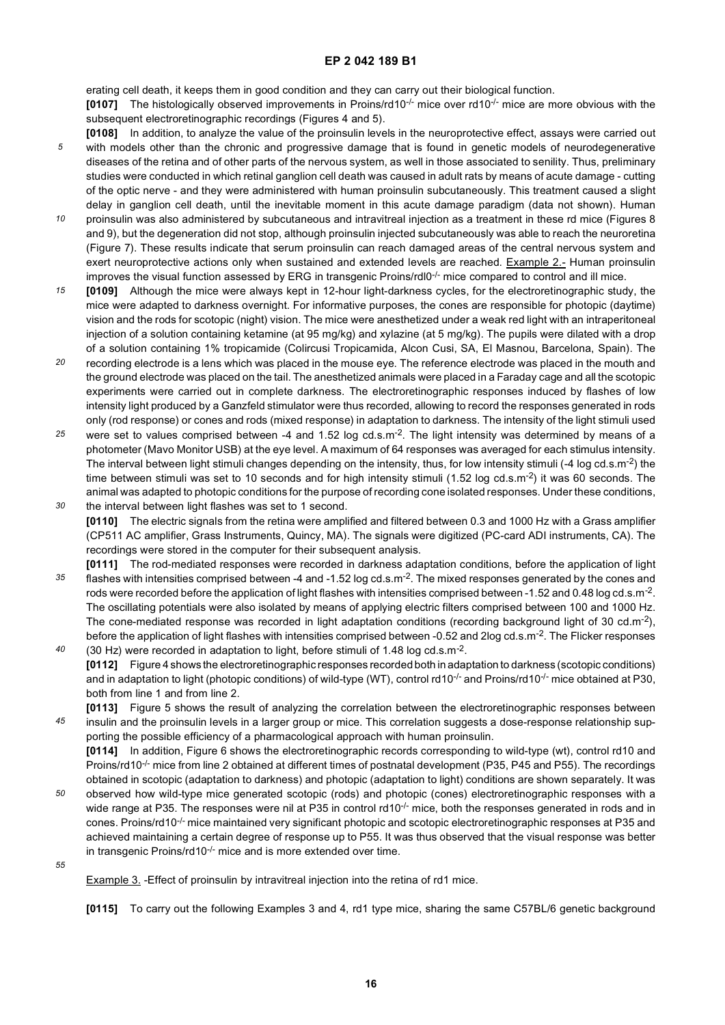erating cell death, it keeps them in good condition and they can carry out their biological function.

**[0107]** The histologically observed improvements in Proins/rd10<sup>-/-</sup> mice over rd10<sup>-/-</sup> mice are more obvious with the subsequent electroretinographic recordings (Figures 4 and 5).

- *5* **[0108]** In addition, to analyze the value of the proinsulin levels in the neuroprotective effect, assays were carried out with models other than the chronic and progressive damage that is found in genetic models of neurodegenerative diseases of the retina and of other parts of the nervous system, as well in those associated to senility. Thus, preliminary studies were conducted in which retinal ganglion cell death was caused in adult rats by means of acute damage - cutting of the optic nerve - and they were administered with human proinsulin subcutaneously. This treatment caused a slight delay in ganglion cell death, until the inevitable moment in this acute damage paradigm (data not shown). Human
- *10* proinsulin was also administered by subcutaneous and intravitreal injection as a treatment in these rd mice (Figures 8 and 9), but the degeneration did not stop, although proinsulin injected subcutaneously was able to reach the neuroretina (Figure 7). These results indicate that serum proinsulin can reach damaged areas of the central nervous system and exert neuroprotective actions only when sustained and extended levels are reached. Example 2.- Human proinsulin improves the visual function assessed by ERG in transgenic Proins/rdl0<sup>-/-</sup> mice compared to control and ill mice.
- *15* **[0109]** Although the mice were always kept in 12-hour light-darkness cycles, for the electroretinographic study, the mice were adapted to darkness overnight. For informative purposes, the cones are responsible for photopic (daytime) vision and the rods for scotopic (night) vision. The mice were anesthetized under a weak red light with an intraperitoneal injection of a solution containing ketamine (at 95 mg/kg) and xylazine (at 5 mg/kg). The pupils were dilated with a drop of a solution containing 1% tropicamide (Colircusi Tropicamida, Alcon Cusi, SA, El Masnou, Barcelona, Spain). The
- *20* recording electrode is a lens which was placed in the mouse eye. The reference electrode was placed in the mouth and the ground electrode was placed on the tail. The anesthetized animals were placed in a Faraday cage and all the scotopic experiments were carried out in complete darkness. The electroretinographic responses induced by flashes of low intensity light produced by a Ganzfeld stimulator were thus recorded, allowing to record the responses generated in rods only (rod response) or cones and rods (mixed response) in adaptation to darkness. The intensity of the light stimuli used
- *25 30* were set to values comprised between -4 and 1.52 log cd.s.m<sup>-2</sup>. The light intensity was determined by means of a photometer (Mavo Monitor USB) at the eye level. A maximum of 64 responses was averaged for each stimulus intensity. The interval between light stimuli changes depending on the intensity, thus, for low intensity stimuli (-4 log cd.s.m<sup>-2</sup>) the time between stimuli was set to 10 seconds and for high intensity stimuli (1.52 log cd.s.m<sup>-2</sup>) it was 60 seconds. The animal was adapted to photopic conditions for the purpose of recording cone isolated responses. Under these conditions, the interval between light flashes was set to 1 second.
- **[0110]** The electric signals from the retina were amplified and filtered between 0.3 and 1000 Hz with a Grass amplifier (CP511 AC amplifier, Grass Instruments, Quincy, MA). The signals were digitized (PC-card ADI instruments, CA). The recordings were stored in the computer for their subsequent analysis.
- *35 40* **[0111]** The rod-mediated responses were recorded in darkness adaptation conditions, before the application of light flashes with intensities comprised between -4 and -1.52 log cd.s.m<sup>-2</sup>. The mixed responses generated by the cones and rods were recorded before the application of light flashes with intensities comprised between -1.52 and 0.48 log cd.s.m<sup>-2</sup>. The oscillating potentials were also isolated by means of applying electric filters comprised between 100 and 1000 Hz. The cone-mediated response was recorded in light adaptation conditions (recording background light of 30 cd.m<sup>-2</sup>), before the application of light flashes with intensities comprised between -0.52 and 2log cd.s.m<sup>-2</sup>. The Flicker responses (30 Hz) were recorded in adaptation to light, before stimuli of 1.48 log cd.s.m-2.
- **[0112]** Figure 4 shows the electroretinographic responses recorded both in adaptation to darkness (scotopic conditions) and in adaptation to light (photopic conditions) of wild-type (WT), control rd10<sup>-/-</sup> and Proins/rd10<sup>-/-</sup> mice obtained at P30, both from line 1 and from line 2.
- *45* **[0113]** Figure 5 shows the result of analyzing the correlation between the electroretinographic responses between insulin and the proinsulin levels in a larger group or mice. This correlation suggests a dose-response relationship supporting the possible efficiency of a pharmacological approach with human proinsulin.

**[0114]** In addition, Figure 6 shows the electroretinographic records corresponding to wild-type (wt), control rd10 and Proins/rd10<sup>-/-</sup> mice from line 2 obtained at different times of postnatal development (P35, P45 and P55). The recordings obtained in scotopic (adaptation to darkness) and photopic (adaptation to light) conditions are shown separately. It was

- *50* observed how wild-type mice generated scotopic (rods) and photopic (cones) electroretinographic responses with a wide range at P35. The responses were nil at P35 in control rd10 $\cdot$ - mice, both the responses generated in rods and in cones. Proins/rd10<sup>-/-</sup> mice maintained very significant photopic and scotopic electroretinographic responses at P35 and achieved maintaining a certain degree of response up to P55. It was thus observed that the visual response was better in transgenic Proins/rd10<sup>-/-</sup> mice and is more extended over time.
- *55*

Example 3. - Effect of proinsulin by intravitreal injection into the retina of rd1 mice.

**[0115]** To carry out the following Examples 3 and 4, rd1 type mice, sharing the same C57BL/6 genetic background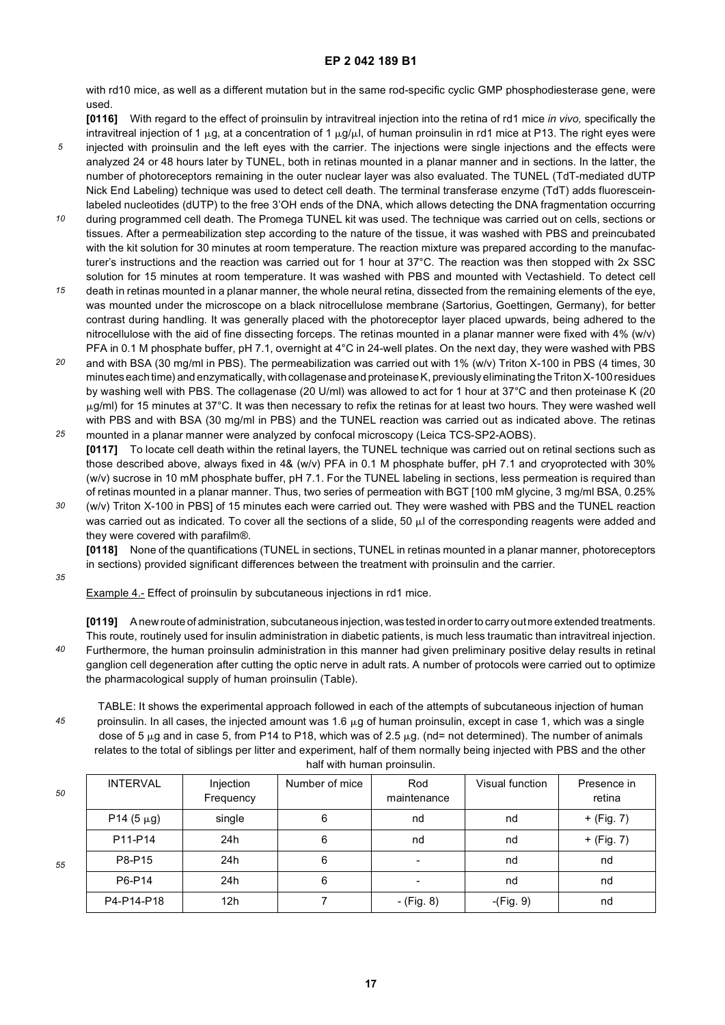with rd10 mice, as well as a different mutation but in the same rod-specific cyclic GMP phosphodiesterase gene, were used.

**[0116]** With regard to the effect of proinsulin by intravitreal injection into the retina of rd1 mice *in vivo,* specifically the intravitreal injection of 1  $\mu$ g, at a concentration of 1  $\mu$ g/ $\mu$ , of human proinsulin in rd1 mice at P13. The right eyes were

- *5* injected with proinsulin and the left eyes with the carrier. The injections were single injections and the effects were analyzed 24 or 48 hours later by TUNEL, both in retinas mounted in a planar manner and in sections. In the latter, the number of photoreceptors remaining in the outer nuclear layer was also evaluated. The TUNEL (TdT-mediated dUTP Nick End Labeling) technique was used to detect cell death. The terminal transferase enzyme (TdT) adds fluoresceinlabeled nucleotides (dUTP) to the free 3'OH ends of the DNA, which allows detecting the DNA fragmentation occurring
- *10* during programmed cell death. The Promega TUNEL kit was used. The technique was carried out on cells, sections or tissues. After a permeabilization step according to the nature of the tissue, it was washed with PBS and preincubated with the kit solution for 30 minutes at room temperature. The reaction mixture was prepared according to the manufacturer's instructions and the reaction was carried out for 1 hour at 37°C. The reaction was then stopped with 2x SSC solution for 15 minutes at room temperature. It was washed with PBS and mounted with Vectashield. To detect cell
- *15* death in retinas mounted in a planar manner, the whole neural retina, dissected from the remaining elements of the eye, was mounted under the microscope on a black nitrocellulose membrane (Sartorius, Goettingen, Germany), for better contrast during handling. It was generally placed with the photoreceptor layer placed upwards, being adhered to the nitrocellulose with the aid of fine dissecting forceps. The retinas mounted in a planar manner were fixed with 4% (w/v) PFA in 0.1 M phosphate buffer, pH 7.1, overnight at 4°C in 24-well plates. On the next day, they were washed with PBS
- *20* and with BSA (30 mg/ml in PBS). The permeabilization was carried out with 1% (w/v) Triton X-100 in PBS (4 times, 30 minutes each time) and enzymatically, with collagenase and proteinase K, previously eliminating the Triton X-100 residues by washing well with PBS. The collagenase (20 U/ml) was allowed to act for 1 hour at 37°C and then proteinase K (20  $\mu$ g/ml) for 15 minutes at 37°C. It was then necessary to refix the retinas for at least two hours. They were washed well with PBS and with BSA (30 mg/ml in PBS) and the TUNEL reaction was carried out as indicated above. The retinas
- *25* mounted in a planar manner were analyzed by confocal microscopy (Leica TCS-SP2-AOBS). **[0117]** To locate cell death within the retinal layers, the TUNEL technique was carried out on retinal sections such as those described above, always fixed in 4& (w/v) PFA in 0.1 M phosphate buffer, pH 7.1 and cryoprotected with 30% (w/v) sucrose in 10 mM phosphate buffer, pH 7.1. For the TUNEL labeling in sections, less permeation is required than of retinas mounted in a planar manner. Thus, two series of permeation with BGT [100 mM glycine, 3 mg/ml BSA, 0.25%
- *30* (w/v) Triton X-100 in PBS] of 15 minutes each were carried out. They were washed with PBS and the TUNEL reaction was carried out as indicated. To cover all the sections of a slide, 50  $\mu$  of the corresponding reagents were added and they were covered with parafilm®.

**[0118]** None of the quantifications (TUNEL in sections, TUNEL in retinas mounted in a planar manner, photoreceptors in sections) provided significant differences between the treatment with proinsulin and the carrier.

*35*

Example 4.- Effect of proinsulin by subcutaneous injections in rd1 mice.

*40* **[0119]** A new route of administration, subcutaneous injection, was tested in order to carry out more extended treatments. This route, routinely used for insulin administration in diabetic patients, is much less traumatic than intravitreal injection. Furthermore, the human proinsulin administration in this manner had given preliminary positive delay results in retinal ganglion cell degeneration after cutting the optic nerve in adult rats. A number of protocols were carried out to optimize the pharmacological supply of human proinsulin (Table).

TABLE: It shows the experimental approach followed in each of the attempts of subcutaneous injection of human proinsulin. In all cases, the injected amount was 1.6  $\mu$ g of human proinsulin, except in case 1, which was a single dose of 5  $\mu$ g and in case 5, from P14 to P18, which was of 2.5  $\mu$ g. (nd= not determined). The number of animals relates to the total of siblings per litter and experiment, half of them normally being injected with PBS and the other half with human proinsulin.

| 50 | <b>INTERVAL</b> | Injection<br>Frequency | Number of mice | Rod<br>maintenance | Visual function | Presence in<br>retina |
|----|-----------------|------------------------|----------------|--------------------|-----------------|-----------------------|
|    | P14 $(5 \mu g)$ | single                 | 6              | nd                 | nd              | + (Fig. 7)            |
|    | P11-P14         | 24h                    | 6              | nd                 | nd              | + (Fig. 7)            |
| 55 | P8-P15          | 24h                    | 6              |                    | nd              | nd                    |
|    | P6-P14          | 24h                    | 6              |                    | nd              | nd                    |
|    | P4-P14-P18      | 12h                    |                | - (Fig. 8)         | $-(Fig. 9)$     | nd                    |

*50*

*45*

**17**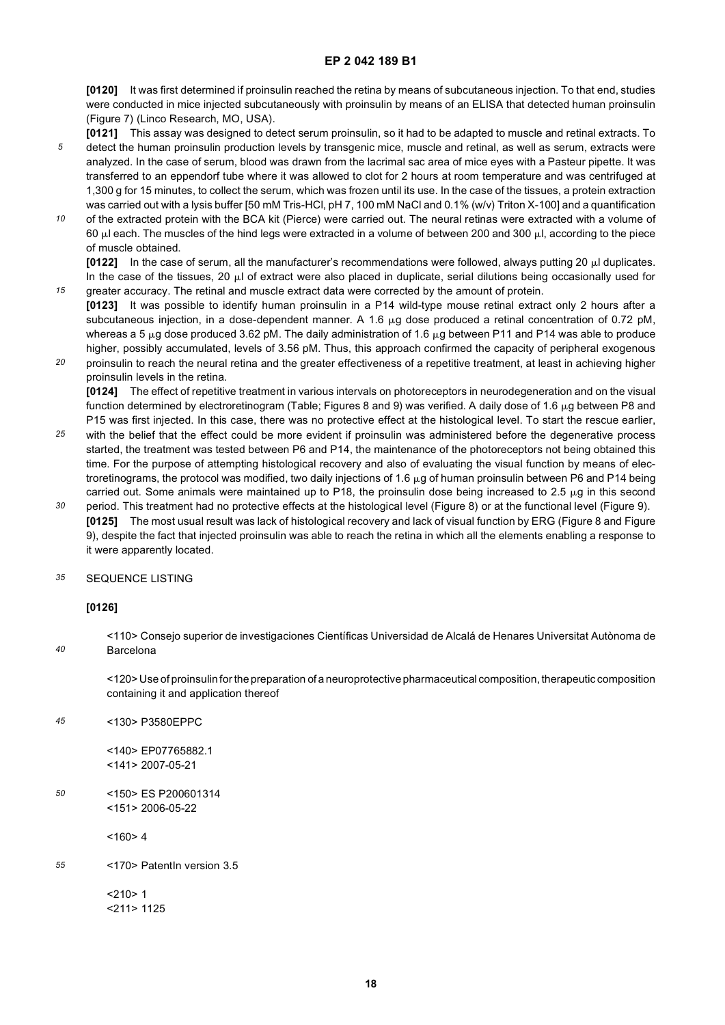**[0120]** It was first determined if proinsulin reached the retina by means of subcutaneous injection. To that end, studies were conducted in mice injected subcutaneously with proinsulin by means of an ELISA that detected human proinsulin (Figure 7) (Linco Research, MO, USA).

- **[0121]** This assay was designed to detect serum proinsulin, so it had to be adapted to muscle and retinal extracts. To detect the human proinsulin production levels by transgenic mice, muscle and retinal, as well as serum, extracts were
- *5* analyzed. In the case of serum, blood was drawn from the lacrimal sac area of mice eyes with a Pasteur pipette. It was transferred to an eppendorf tube where it was allowed to clot for 2 hours at room temperature and was centrifuged at 1,300 g for 15 minutes, to collect the serum, which was frozen until its use. In the case of the tissues, a protein extraction was carried out with a lysis buffer [50 mM Tris-HCl, pH 7, 100 mM NaCl and 0.1% (w/v) Triton X-100] and a quantification
- *10* of the extracted protein with the BCA kit (Pierce) were carried out. The neural retinas were extracted with a volume of 60  $\mu$ l each. The muscles of the hind legs were extracted in a volume of between 200 and 300  $\mu$ l, according to the piece of muscle obtained.

**[0122]** In the case of serum, all the manufacturer's recommendations were followed, always putting 20 µl duplicates. In the case of the tissues, 20  $\mu$  of extract were also placed in duplicate, serial dilutions being occasionally used for greater accuracy. The retinal and muscle extract data were corrected by the amount of protein.

- *15* **[0123]** It was possible to identify human proinsulin in a P14 wild-type mouse retinal extract only 2 hours after a subcutaneous injection, in a dose-dependent manner. A 1.6 µg dose produced a retinal concentration of 0.72 pM, whereas a 5  $\mu$ g dose produced 3.62 pM. The daily administration of 1.6  $\mu$ g between P11 and P14 was able to produce higher, possibly accumulated, levels of 3.56 pM. Thus, this approach confirmed the capacity of peripheral exogenous
- *20* proinsulin to reach the neural retina and the greater effectiveness of a repetitive treatment, at least in achieving higher proinsulin levels in the retina.

**[0124]** The effect of repetitive treatment in various intervals on photoreceptors in neurodegeneration and on the visual function determined by electroretinogram (Table; Figures 8 and 9) was verified. A daily dose of 1.6  $\mu$ g between P8 and P15 was first injected. In this case, there was no protective effect at the histological level. To start the rescue earlier,

- *25* with the belief that the effect could be more evident if proinsulin was administered before the degenerative process started, the treatment was tested between P6 and P14, the maintenance of the photoreceptors not being obtained this time. For the purpose of attempting histological recovery and also of evaluating the visual function by means of electroretinograms, the protocol was modified, two daily injections of 1.6  $\mu$ g of human proinsulin between P6 and P14 being carried out. Some animals were maintained up to P18, the proinsulin dose being increased to 2.5  $\mu$ g in this second
- *30* period. This treatment had no protective effects at the histological level (Figure 8) or at the functional level (Figure 9). **[0125]** The most usual result was lack of histological recovery and lack of visual function by ERG (Figure 8 and Figure 9), despite the fact that injected proinsulin was able to reach the retina in which all the elements enabling a response to it were apparently located.

#### *35* SEQUENCE LISTING

#### **[0126]**

*40*

<110> Consejo superior de investigaciones Científicas Universidad de Alcalá de Henares Universitat Autònoma de Barcelona

<120> Use of proinsulin for the preparation of a neuroprotective pharmaceutical composition, therapeutic composition containing it and application thereof

*45* <130> P3580EPPC

> <140> EP07765882.1 <141> 2007-05-21

*50* <150> ES P200601314 <151> 2006-05-22

 $<$ 160>4

*55* <170> PatentIn version 3.5

> $< 210 > 1$ <211> 1125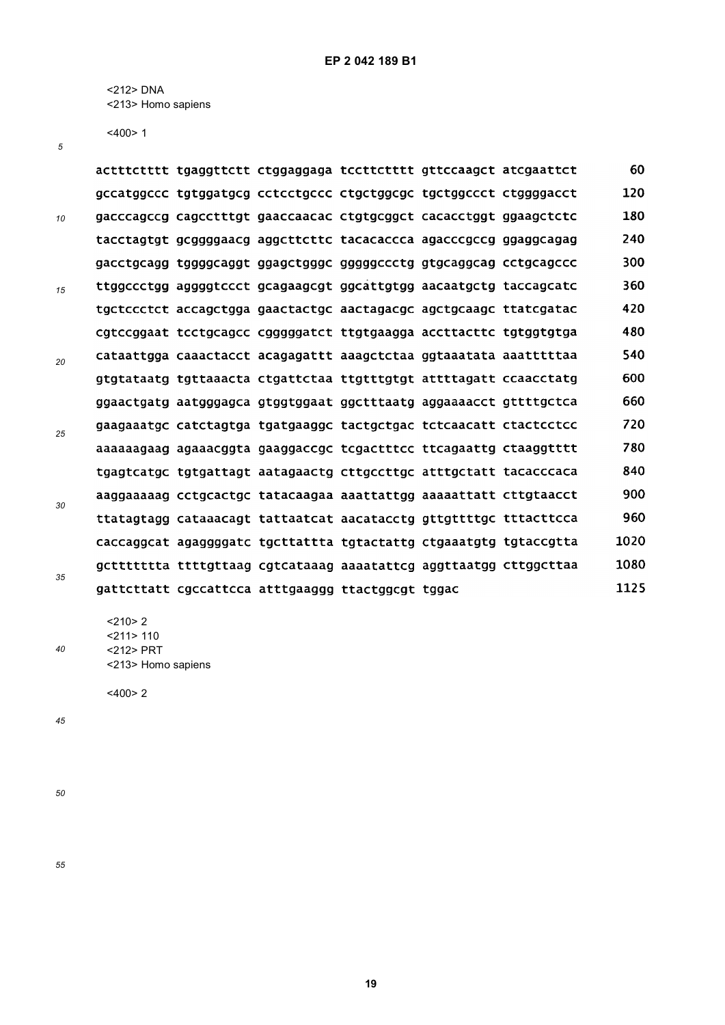<212> DNA <213> Homo sapiens

<400> 1

*5*

|    |  | actttctttt tgaggttctt ctggaggaga tccttctttt gttccaagct atcgaattct |  | 60   |
|----|--|-------------------------------------------------------------------|--|------|
|    |  | gccatggccc tgtggatgcg cctcctgccc ctgctggcgc tgctggccct ctggggacct |  | 120  |
| 10 |  | gacccagccg cagcctttgt gaaccaacac ctgtgcggct cacacctggt ggaagctctc |  | 180  |
|    |  | tacctagtgt gcggggaacg aggcttcttc tacacaccca agacccgccg ggaggcagag |  | 240  |
|    |  | gacctgcagg tggggcaggt ggagctgggc gggggccctg gtgcaggcag cctgcagccc |  | 300  |
| 15 |  | ttggccctgg aggggtccct gcagaagcgt ggcattgtgg aacaatgctg taccagcatc |  | 360  |
|    |  | tgctccctct accagctgga gaactactgc aactagacgc agctgcaagc ttatcgatac |  | 420  |
|    |  | cgtccggaat tcctgcagcc cgggggatct ttgtgaagga accttacttc tgtggtgtga |  | 480  |
| 20 |  | cataattgga caaactacct acagagattt aaagctctaa ggtaaatata aaatttttaa |  | 540  |
|    |  | gtgtataatg tgttaaacta ctgattctaa ttgtttgtgt attttagatt ccaacctatg |  | 600  |
|    |  | ggaactgatg aatgggagca gtggtggaat ggctttaatg aggaaaacct gttttgctca |  | 660  |
| 25 |  | gaagaaatgc catctagtga tgatgaaggc tactgctgac tctcaacatt ctactcctcc |  | 720  |
|    |  | aaaaaagaag agaaacggta gaaggaccgc tcgactttcc ttcagaattg ctaaggtttt |  | 780  |
|    |  |                                                                   |  | 840  |
| 30 |  | aaggaaaaag cctgcactgc tatacaagaa aaattattgg aaaaattatt cttgtaacct |  | 900  |
|    |  | ttatagtagg cataaacagt tattaatcat aacatacctg gttgttttgc tttacttcca |  | 960  |
|    |  | caccaggcat agaggggatc tgcttattta tgtactattg ctgaaatgtg tgtaccgtta |  | 1020 |
|    |  | gcttttttta ttttgttaag cgtcataaag aaaatattcg aggttaatgg cttggcttaa |  | 1080 |
| 35 |  | gattcttatt cgccattcca atttgaaggg ttactggcgt tggac                 |  | 1125 |

 $<$ 210>2 <211> 110

<212> PRT <213> Homo sapiens

<400> 2

*45*

*40*

*50*

*55*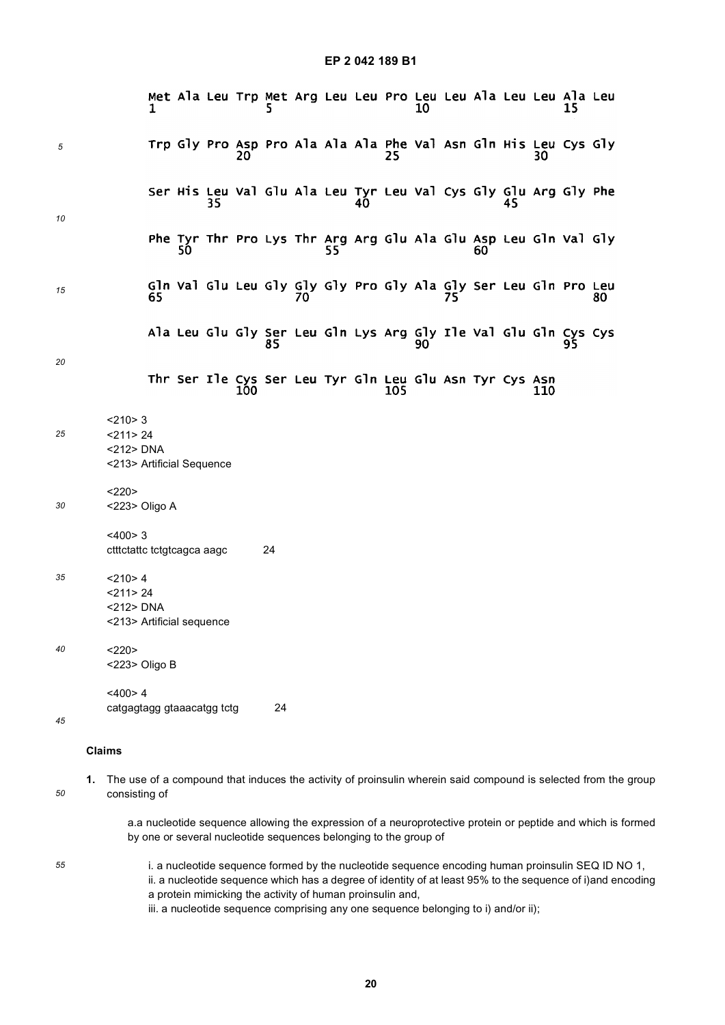|    |                                                                         | Met Ala Leu Trp Met Arg Leu Leu Pro Leu Leu Ala Leu Leu Ala Leu       |    |     |    |    |    |     | 10 |    |    |     | 15 |                                                                                                                |
|----|-------------------------------------------------------------------------|-----------------------------------------------------------------------|----|-----|----|----|----|-----|----|----|----|-----|----|----------------------------------------------------------------------------------------------------------------|
| 5  |                                                                         | Trp Gly Pro Asp Pro Ala Ala Ala Phe Val Asn Gln His Leu Cys Gly       |    | 20. |    |    |    | 25  |    |    |    | 3U  |    |                                                                                                                |
| 10 |                                                                         | Ser His Leu Val Glu Ala Leu Tyr Leu Val Cys Gly Glu Arg Gly Phe       | 35 |     |    |    | 40 |     |    |    | 45 |     |    |                                                                                                                |
|    |                                                                         | Phe Tyr Thr Pro Lys Thr Arg Arg Glu Ala Glu Asp Leu Gln Val Gly<br>50 |    |     |    |    |    |     |    | bυ |    |     |    |                                                                                                                |
| 15 | 65                                                                      | Gln Val Glu Leu Gly Gly Gly Pro Gly Ala Gly Ser Leu Gln Pro Leu       |    |     |    | 70 |    |     |    |    |    |     |    | 80.                                                                                                            |
| 20 |                                                                         | Ala Leu Glu Gly Ser Leu Gln Lys Arg Gly Ile Val Glu Gln Cys Cys       |    |     | 85 |    |    |     | 90 |    |    |     |    |                                                                                                                |
|    |                                                                         | Thr Ser Ile Cys Ser Leu Tyr Gln Leu Glu Asn Tyr Cys Asn               |    | 100 |    |    |    | 105 |    |    |    | 110 |    |                                                                                                                |
| 25 | $<$ 210 $>$ 3<br>$<$ 211 > 24<br><212> DNA<br><213> Artificial Sequence |                                                                       |    |     |    |    |    |     |    |    |    |     |    |                                                                                                                |
| 30 | <220><br><223> Oligo A                                                  |                                                                       |    |     |    |    |    |     |    |    |    |     |    |                                                                                                                |
|    | <400>3<br>ctttctattc tctgtcagca aagc                                    |                                                                       |    |     | 24 |    |    |     |    |    |    |     |    |                                                                                                                |
| 35 | $<$ 210>4<br>$<$ 211 > 24<br><212> DNA<br><213> Artificial sequence     |                                                                       |    |     |    |    |    |     |    |    |    |     |    |                                                                                                                |
| 40 | <220><br><223> Oligo B                                                  |                                                                       |    |     |    |    |    |     |    |    |    |     |    |                                                                                                                |
| 45 | <400>4<br>catgagtagg gtaaacatgg tctg                                    |                                                                       |    |     | 24 |    |    |     |    |    |    |     |    |                                                                                                                |
|    | <b>Claims</b>                                                           |                                                                       |    |     |    |    |    |     |    |    |    |     |    |                                                                                                                |
| 50 | 1.<br>consisting of                                                     |                                                                       |    |     |    |    |    |     |    |    |    |     |    | The use of a compound that induces the activity of proinsulin wherein said compound is selected from the group |
|    |                                                                         |                                                                       |    |     |    |    |    |     |    |    |    |     |    | a a nucleotide sequence allowing the expression of a neuroprotective protein or peptide and which is formed    |

allowing the expression of a neuroprotective protein or peptide and which is formed by one or several nucleotide sequences belonging to the group of

*55*

i. a nucleotide sequence formed by the nucleotide sequence encoding human proinsulin SEQ ID NO 1, ii. a nucleotide sequence which has a degree of identity of at least 95% to the sequence of i)and encoding a protein mimicking the activity of human proinsulin and, iii. a nucleotide sequence comprising any one sequence belonging to i) and/or ii);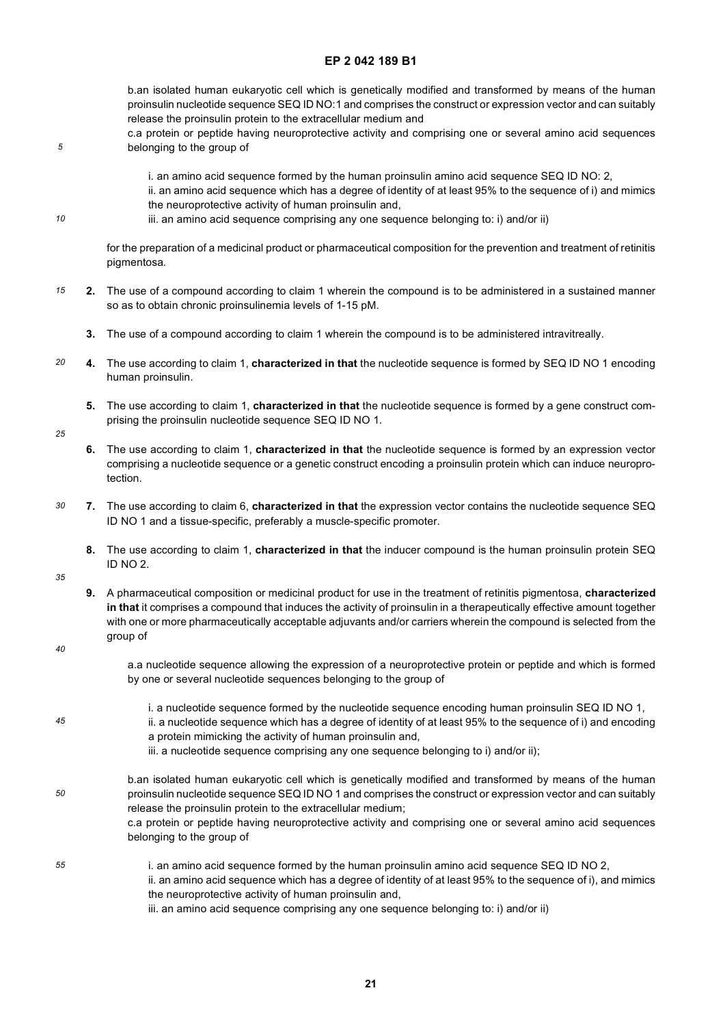b.an isolated human eukaryotic cell which is genetically modified and transformed by means of the human proinsulin nucleotide sequence SEQ ID NO:1 and comprises the construct or expression vector and can suitably release the proinsulin protein to the extracellular medium and

- c.a protein or peptide having neuroprotective activity and comprising one or several amino acid sequences belonging to the group of
	- i. an amino acid sequence formed by the human proinsulin amino acid sequence SEQ ID NO: 2, ii. an amino acid sequence which has a degree of identity of at least 95% to the sequence of i) and mimics the neuroprotective activity of human proinsulin and,
	- iii. an amino acid sequence comprising any one sequence belonging to: i) and/or ii)

for the preparation of a medicinal product or pharmaceutical composition for the prevention and treatment of retinitis pigmentosa.

- *15* **2.** The use of a compound according to claim 1 wherein the compound is to be administered in a sustained manner so as to obtain chronic proinsulinemia levels of 1-15 pM.
	- **3.** The use of a compound according to claim 1 wherein the compound is to be administered intravitreally.
- *20* **4.** The use according to claim 1, **characterized in that** the nucleotide sequence is formed by SEQ ID NO 1 encoding human proinsulin.
	- **5.** The use according to claim 1, **characterized in that** the nucleotide sequence is formed by a gene construct comprising the proinsulin nucleotide sequence SEQ ID NO 1.
- *25*

*5*

*10*

**6.** The use according to claim 1, **characterized in that** the nucleotide sequence is formed by an expression vector comprising a nucleotide sequence or a genetic construct encoding a proinsulin protein which can induce neuroprotection.

- *30* **7.** The use according to claim 6, **characterized in that** the expression vector contains the nucleotide sequence SEQ ID NO 1 and a tissue-specific, preferably a muscle-specific promoter.
	- **8.** The use according to claim 1, **characterized in that** the inducer compound is the human proinsulin protein SEQ ID NO 2.
- *35*
- **9.** A pharmaceutical composition or medicinal product for use in the treatment of retinitis pigmentosa, **characterized in that** it comprises a compound that induces the activity of proinsulin in a therapeutically effective amount together with one or more pharmaceutically acceptable adjuvants and/or carriers wherein the compound is selected from the group of
- *40*

a.a nucleotide sequence allowing the expression of a neuroprotective protein or peptide and which is formed by one or several nucleotide sequences belonging to the group of

- *45 50 55* i. a nucleotide sequence formed by the nucleotide sequence encoding human proinsulin SEQ ID NO 1, ii. a nucleotide sequence which has a degree of identity of at least 95% to the sequence of i) and encoding a protein mimicking the activity of human proinsulin and, iii. a nucleotide sequence comprising any one sequence belonging to i) and/or ii); b.an isolated human eukaryotic cell which is genetically modified and transformed by means of the human proinsulin nucleotide sequence SEQ ID NO 1 and comprises the construct or expression vector and can suitably release the proinsulin protein to the extracellular medium; c.a protein or peptide having neuroprotective activity and comprising one or several amino acid sequences belonging to the group of i. an amino acid sequence formed by the human proinsulin amino acid sequence SEQ ID NO 2, ii. an amino acid sequence which has a degree of identity of at least 95% to the sequence of i), and mimics the neuroprotective activity of human proinsulin and,
	- iii. an amino acid sequence comprising any one sequence belonging to: i) and/or ii)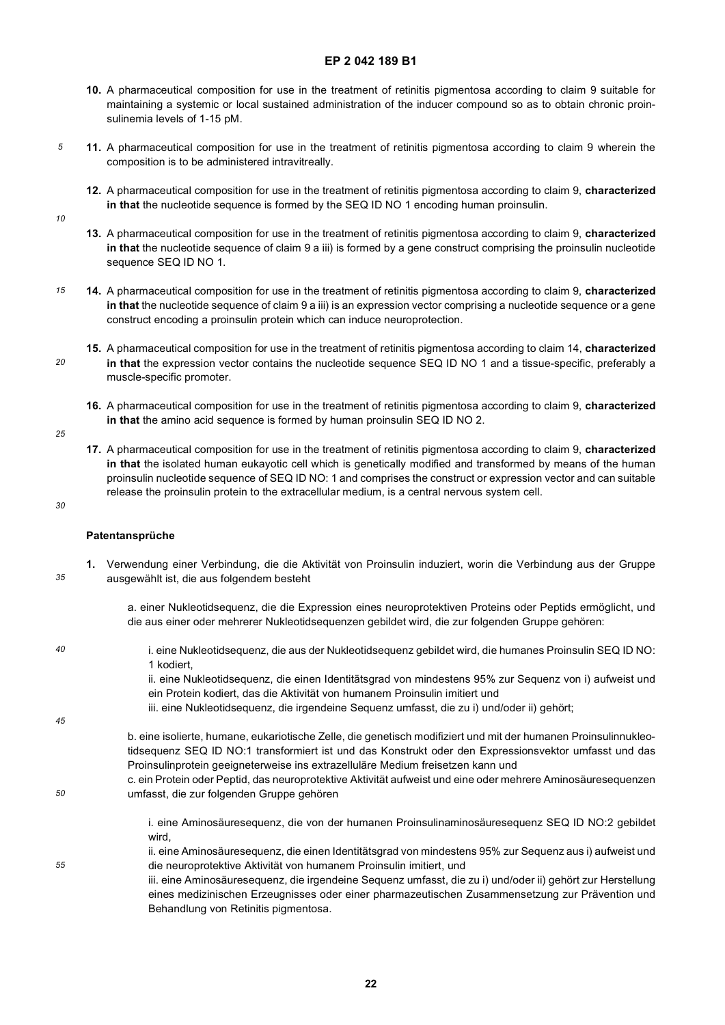- **10.** A pharmaceutical composition for use in the treatment of retinitis pigmentosa according to claim 9 suitable for maintaining a systemic or local sustained administration of the inducer compound so as to obtain chronic proinsulinemia levels of 1-15 pM.
- **11.** A pharmaceutical composition for use in the treatment of retinitis pigmentosa according to claim 9 wherein the composition is to be administered intravitreally.
	- **12.** A pharmaceutical composition for use in the treatment of retinitis pigmentosa according to claim 9, **characterized in that** the nucleotide sequence is formed by the SEQ ID NO 1 encoding human proinsulin.
- *10*

*5*

- **13.** A pharmaceutical composition for use in the treatment of retinitis pigmentosa according to claim 9, **characterized in that** the nucleotide sequence of claim 9 a iii) is formed by a gene construct comprising the proinsulin nucleotide sequence SEQ ID NO 1.
- *15* **14.** A pharmaceutical composition for use in the treatment of retinitis pigmentosa according to claim 9, **characterized in that** the nucleotide sequence of claim 9 a iii) is an expression vector comprising a nucleotide sequence or a gene construct encoding a proinsulin protein which can induce neuroprotection.
- *20* **15.** A pharmaceutical composition for use in the treatment of retinitis pigmentosa according to claim 14, **characterized in that** the expression vector contains the nucleotide sequence SEQ ID NO 1 and a tissue-specific, preferably a muscle-specific promoter.
	- **16.** A pharmaceutical composition for use in the treatment of retinitis pigmentosa according to claim 9, **characterized in that** the amino acid sequence is formed by human proinsulin SEQ ID NO 2.
- *25*
- **17.** A pharmaceutical composition for use in the treatment of retinitis pigmentosa according to claim 9, **characterized in that** the isolated human eukayotic cell which is genetically modified and transformed by means of the human proinsulin nucleotide sequence of SEQ ID NO: 1 and comprises the construct or expression vector and can suitable release the proinsulin protein to the extracellular medium, is a central nervous system cell.

#### *30*

*40*

*45*

*50*

*55*

#### **Patentansprüche**

- *35* **1.** Verwendung einer Verbindung, die die Aktivität von Proinsulin induziert, worin die Verbindung aus der Gruppe ausgewählt ist, die aus folgendem besteht
	- a. einer Nukleotidsequenz, die die Expression eines neuroprotektiven Proteins oder Peptids ermöglicht, und die aus einer oder mehrerer Nukleotidsequenzen gebildet wird, die zur folgenden Gruppe gehören:
	- i. eine Nukleotidsequenz, die aus der Nukleotidsequenz gebildet wird, die humanes Proinsulin SEQ ID NO: 1 kodiert,

ii. eine Nukleotidsequenz, die einen Identitätsgrad von mindestens 95% zur Sequenz von i) aufweist und ein Protein kodiert, das die Aktivität von humanem Proinsulin imitiert und

iii. eine Nukleotidsequenz, die irgendeine Sequenz umfasst, die zu i) und/oder ii) gehört;

b. eine isolierte, humane, eukariotische Zelle, die genetisch modifiziert und mit der humanen Proinsulinnukleotidsequenz SEQ ID NO:1 transformiert ist und das Konstrukt oder den Expressionsvektor umfasst und das Proinsulinprotein geeigneterweise ins extrazelluläre Medium freisetzen kann und

c. ein Protein oder Peptid, das neuroprotektive Aktivität aufweist und eine oder mehrere Aminosäuresequenzen umfasst, die zur folgenden Gruppe gehören

i. eine Aminosäuresequenz, die von der humanen Proinsulinaminosäuresequenz SEQ ID NO:2 gebildet wird,

- ii. eine Aminosäuresequenz, die einen Identitätsgrad von mindestens 95% zur Sequenz aus i) aufweist und die neuroprotektive Aktivität von humanem Proinsulin imitiert, und iii. eine Aminosäuresequenz, die irgendeine Sequenz umfasst, die zu i) und/oder ii) gehört zur Herstellung
	- eines medizinischen Erzeugnisses oder einer pharmazeutischen Zusammensetzung zur Prävention und Behandlung von Retinitis pigmentosa.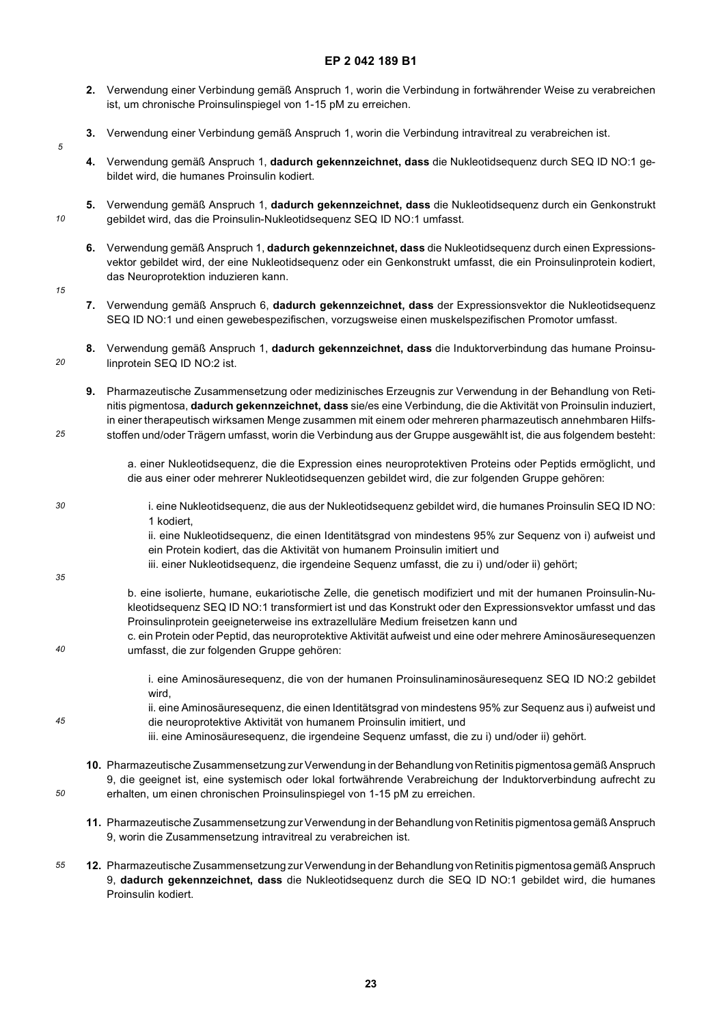- **2.** Verwendung einer Verbindung gemäß Anspruch 1, worin die Verbindung in fortwährender Weise zu verabreichen ist, um chronische Proinsulinspiegel von 1-15 pM zu erreichen.
- **3.** Verwendung einer Verbindung gemäß Anspruch 1, worin die Verbindung intravitreal zu verabreichen ist.
- **4.** Verwendung gemäß Anspruch 1, **dadurch gekennzeichnet, dass** die Nukleotidsequenz durch SEQ ID NO:1 gebildet wird, die humanes Proinsulin kodiert.
- **5.** Verwendung gemäß Anspruch 1, **dadurch gekennzeichnet, dass** die Nukleotidsequenz durch ein Genkonstrukt gebildet wird, das die Proinsulin-Nukleotidsequenz SEQ ID NO:1 umfasst.
- **6.** Verwendung gemäß Anspruch 1, **dadurch gekennzeichnet, dass** die Nukleotidsequenz durch einen Expressionsvektor gebildet wird, der eine Nukleotidsequenz oder ein Genkonstrukt umfasst, die ein Proinsulinprotein kodiert, das Neuroprotektion induzieren kann.
- *15*

*20*

*25*

*30*

*5*

*10*

- **7.** Verwendung gemäß Anspruch 6, **dadurch gekennzeichnet, dass** der Expressionsvektor die Nukleotidsequenz SEQ ID NO:1 und einen gewebespezifischen, vorzugsweise einen muskelspezifischen Promotor umfasst.
- **8.** Verwendung gemäß Anspruch 1, **dadurch gekennzeichnet, dass** die Induktorverbindung das humane Proinsulinprotein SEQ ID NO:2 ist.
	- **9.** Pharmazeutische Zusammensetzung oder medizinisches Erzeugnis zur Verwendung in der Behandlung von Retinitis pigmentosa, **dadurch gekennzeichnet, dass** sie/es eine Verbindung, die die Aktivität von Proinsulin induziert, in einer therapeutisch wirksamen Menge zusammen mit einem oder mehreren pharmazeutisch annehmbaren Hilfsstoffen und/oder Trägern umfasst, worin die Verbindung aus der Gruppe ausgewählt ist, die aus folgendem besteht:
		- a. einer Nukleotidsequenz, die die Expression eines neuroprotektiven Proteins oder Peptids ermöglicht, und die aus einer oder mehrerer Nukleotidsequenzen gebildet wird, die zur folgenden Gruppe gehören:
	- i. eine Nukleotidsequenz, die aus der Nukleotidsequenz gebildet wird, die humanes Proinsulin SEQ ID NO: 1 kodiert, ii. eine Nukleotidsequenz, die einen Identitätsgrad von mindestens 95% zur Sequenz von i) aufweist und
		- ein Protein kodiert, das die Aktivität von humanem Proinsulin imitiert und
		- iii. einer Nukleotidsequenz, die irgendeine Sequenz umfasst, die zu i) und/oder ii) gehört;
- *35*

*50*

- b. eine isolierte, humane, eukariotische Zelle, die genetisch modifiziert und mit der humanen Proinsulin-Nukleotidsequenz SEQ ID NO:1 transformiert ist und das Konstrukt oder den Expressionsvektor umfasst und das Proinsulinprotein geeigneterweise ins extrazelluläre Medium freisetzen kann und
- *40* c. ein Protein oder Peptid, das neuroprotektive Aktivität aufweist und eine oder mehrere Aminosäuresequenzen umfasst, die zur folgenden Gruppe gehören:
	- i. eine Aminosäuresequenz, die von der humanen Proinsulinaminosäuresequenz SEQ ID NO:2 gebildet wird,
- *45* ii. eine Aminosäuresequenz, die einen Identitätsgrad von mindestens 95% zur Sequenz aus i) aufweist und die neuroprotektive Aktivität von humanem Proinsulin imitiert, und
	- iii. eine Aminosäuresequenz, die irgendeine Sequenz umfasst, die zu i) und/oder ii) gehört.
	- **10.** Pharmazeutische Zusammensetzung zur Verwendung in der Behandlung von Retinitis pigmentosa gemäß Anspruch 9, die geeignet ist, eine systemisch oder lokal fortwährende Verabreichung der Induktorverbindung aufrecht zu erhalten, um einen chronischen Proinsulinspiegel von 1-15 pM zu erreichen.
		- **11.** Pharmazeutische Zusammensetzung zur Verwendung in der Behandlung von Retinitis pigmentosa gemäß Anspruch 9, worin die Zusammensetzung intravitreal zu verabreichen ist.
- *55* **12.** Pharmazeutische Zusammensetzung zur Verwendung in der Behandlung von Retinitis pigmentosa gemäß Anspruch 9, **dadurch gekennzeichnet, dass** die Nukleotidsequenz durch die SEQ ID NO:1 gebildet wird, die humanes Proinsulin kodiert.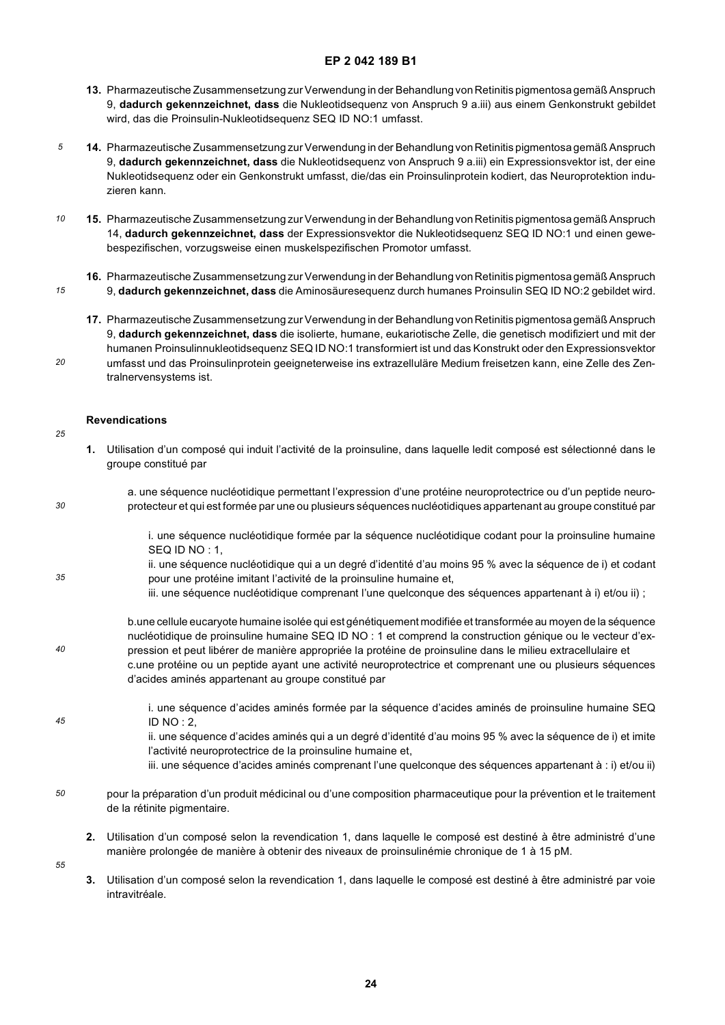- **13.** Pharmazeutische Zusammensetzung zur Verwendung in der Behandlung von Retinitis pigmentosa gemäß Anspruch 9, **dadurch gekennzeichnet, dass** die Nukleotidsequenz von Anspruch 9 a.iii) aus einem Genkonstrukt gebildet wird, das die Proinsulin-Nukleotidsequenz SEQ ID NO:1 umfasst.
- *5* **14.** Pharmazeutische Zusammensetzung zur Verwendung in der Behandlung von Retinitis pigmentosa gemäß Anspruch 9, **dadurch gekennzeichnet, dass** die Nukleotidsequenz von Anspruch 9 a.iii) ein Expressionsvektor ist, der eine Nukleotidsequenz oder ein Genkonstrukt umfasst, die/das ein Proinsulinprotein kodiert, das Neuroprotektion induzieren kann.
- *10* **15.** Pharmazeutische Zusammensetzung zur Verwendung in der Behandlung von Retinitis pigmentosa gemäß Anspruch 14, **dadurch gekennzeichnet, dass** der Expressionsvektor die Nukleotidsequenz SEQ ID NO:1 und einen gewebespezifischen, vorzugsweise einen muskelspezifischen Promotor umfasst.
- *15* **16.** Pharmazeutische Zusammensetzung zur Verwendung in der Behandlung von Retinitis pigmentosa gemäß Anspruch 9, **dadurch gekennzeichnet, dass** die Aminosäuresequenz durch humanes Proinsulin SEQ ID NO:2 gebildet wird.
	- **17.** Pharmazeutische Zusammensetzung zur Verwendung in der Behandlung von Retinitis pigmentosa gemäß Anspruch 9, **dadurch gekennzeichnet, dass** die isolierte, humane, eukariotische Zelle, die genetisch modifiziert und mit der humanen Proinsulinnukleotidsequenz SEQ ID NO:1 transformiert ist und das Konstrukt oder den Expressionsvektor umfasst und das Proinsulinprotein geeigneterweise ins extrazelluläre Medium freisetzen kann, eine Zelle des Zentralnervensystems ist.

#### **Revendications**

*20*

*25*

*30*

*35*

*40*

- **1.** Utilisation d'un composé qui induit l'activité de la proinsuline, dans laquelle ledit composé est sélectionné dans le groupe constitué par
- a. une séquence nucléotidique permettant l'expression d'une protéine neuroprotectrice ou d'un peptide neuroprotecteur et qui est formée par une ou plusieurs séquences nucléotidiques appartenant au groupe constitué par

i. une séquence nucléotidique formée par la séquence nucléotidique codant pour la proinsuline humaine SEQ ID NO : 1,

ii. une séquence nucléotidique qui a un degré d'identité d'au moins 95 % avec la séquence de i) et codant pour une protéine imitant l'activité de la proinsuline humaine et,

iii. une séquence nucléotidique comprenant l'une quelconque des séquences appartenant à i) et/ou ii) ;

b.une cellule eucaryote humaine isolée qui est génétiquement modifiée et transformée au moyen de la séquence nucléotidique de proinsuline humaine SEQ ID NO : 1 et comprend la construction génique ou le vecteur d'expression et peut libérer de manière appropriée la protéine de proinsuline dans le milieu extracellulaire et

- c.une protéine ou un peptide ayant une activité neuroprotectrice et comprenant une ou plusieurs séquences d'acides aminés appartenant au groupe constitué par
- *45* i. une séquence d'acides aminés formée par la séquence d'acides aminés de proinsuline humaine SEQ ID NO : 2, ii. une séquence d'acides aminés qui a un degré d'identité d'au moins 95 % avec la séquence de i) et imite l'activité neuroprotectrice de la proinsuline humaine et, iii. une séquence d'acides aminés comprenant l'une quelconque des séquences appartenant à : i) et/ou ii)
- *50* pour la préparation d'un produit médicinal ou d'une composition pharmaceutique pour la prévention et le traitement de la rétinite pigmentaire.
	- **2.** Utilisation d'un composé selon la revendication 1, dans laquelle le composé est destiné à être administré d'une manière prolongée de manière à obtenir des niveaux de proinsulinémie chronique de 1 à 15 pM.
- *55*
- **3.** Utilisation d'un composé selon la revendication 1, dans laquelle le composé est destiné à être administré par voie intravitréale.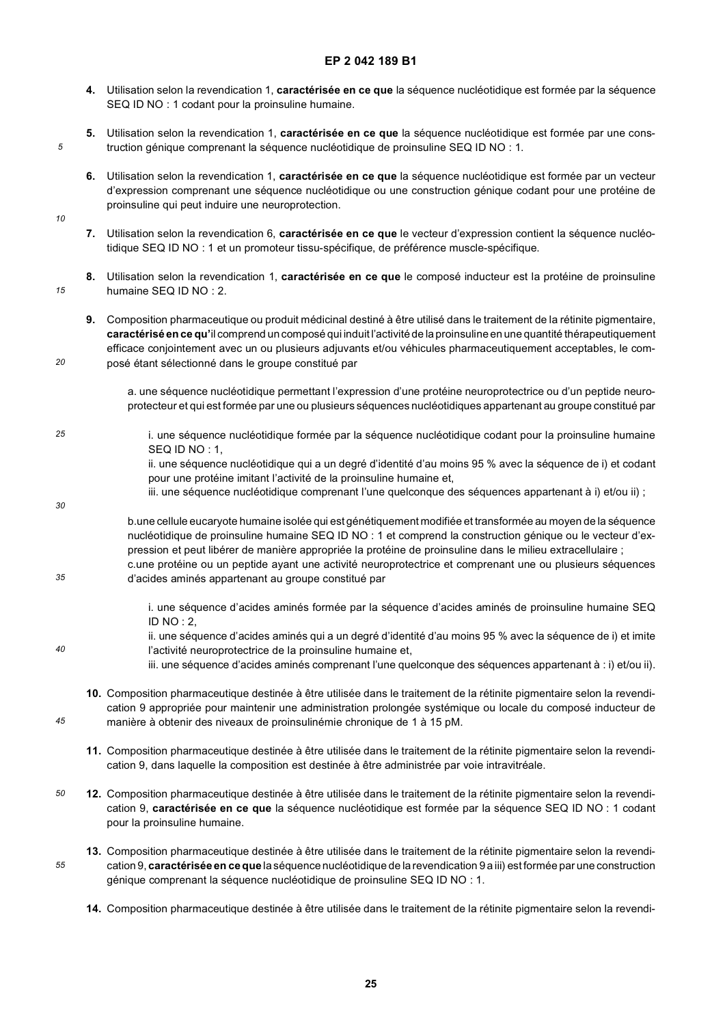- **4.** Utilisation selon la revendication 1, **caractérisée en ce que** la séquence nucléotidique est formée par la séquence SEQ ID NO : 1 codant pour la proinsuline humaine.
- **5.** Utilisation selon la revendication 1, **caractérisée en ce que** la séquence nucléotidique est formée par une construction génique comprenant la séquence nucléotidique de proinsuline SEQ ID NO : 1.
- **6.** Utilisation selon la revendication 1, **caractérisée en ce que** la séquence nucléotidique est formée par un vecteur d'expression comprenant une séquence nucléotidique ou une construction génique codant pour une protéine de proinsuline qui peut induire une neuroprotection.
- *10*

*20*

*30*

*45*

*55*

*5*

- **7.** Utilisation selon la revendication 6, **caractérisée en ce que** le vecteur d'expression contient la séquence nucléotidique SEQ ID NO : 1 et un promoteur tissu-spécifique, de préférence muscle-spécifique.
- *15* **8.** Utilisation selon la revendication 1, **caractérisée en ce que** le composé inducteur est la protéine de proinsuline humaine SEQ ID NO : 2.
	- **9.** Composition pharmaceutique ou produit médicinal destiné à être utilisé dans le traitement de la rétinite pigmentaire, **caractérisé en ce qu'**il comprend un composé qui induit l'activité de la proinsuline en une quantité thérapeutiquement efficace conjointement avec un ou plusieurs adjuvants et/ou véhicules pharmaceutiquement acceptables, le composé étant sélectionné dans le groupe constitué par
		- a. une séquence nucléotidique permettant l'expression d'une protéine neuroprotectrice ou d'un peptide neuroprotecteur et qui est formée par une ou plusieurs séquences nucléotidiques appartenant au groupe constitué par
- *25* i. une séquence nucléotidique formée par la séquence nucléotidique codant pour la proinsuline humaine SEQ ID NO : 1,
	- ii. une séquence nucléotidique qui a un degré d'identité d'au moins 95 % avec la séquence de i) et codant pour une protéine imitant l'activité de la proinsuline humaine et,
	- iii. une séquence nucléotidique comprenant l'une quelconque des séquences appartenant à i) et/ou ii) ;
	- b.une cellule eucaryote humaine isolée qui est génétiquement modifiée et transformée au moyen de la séquence nucléotidique de proinsuline humaine SEQ ID NO : 1 et comprend la construction génique ou le vecteur d'expression et peut libérer de manière appropriée la protéine de proinsuline dans le milieu extracellulaire ; c.une protéine ou un peptide ayant une activité neuroprotectrice et comprenant une ou plusieurs séquences
- *35* d'acides aminés appartenant au groupe constitué par
	- i. une séquence d'acides aminés formée par la séquence d'acides aminés de proinsuline humaine SEQ  $ID NO : 2.$
- *40* ii. une séquence d'acides aminés qui a un degré d'identité d'au moins 95 % avec la séquence de i) et imite l'activité neuroprotectrice de la proinsuline humaine et,
	- iii. une séquence d'acides aminés comprenant l'une quelconque des séquences appartenant à : i) et/ou ii).
	- **10.** Composition pharmaceutique destinée à être utilisée dans le traitement de la rétinite pigmentaire selon la revendication 9 appropriée pour maintenir une administration prolongée systémique ou locale du composé inducteur de manière à obtenir des niveaux de proinsulinémie chronique de 1 à 15 pM.
	- **11.** Composition pharmaceutique destinée à être utilisée dans le traitement de la rétinite pigmentaire selon la revendication 9, dans laquelle la composition est destinée à être administrée par voie intravitréale.
- *50* **12.** Composition pharmaceutique destinée à être utilisée dans le traitement de la rétinite pigmentaire selon la revendication 9, **caractérisée en ce que** la séquence nucléotidique est formée par la séquence SEQ ID NO : 1 codant pour la proinsuline humaine.
	- **13.** Composition pharmaceutique destinée à être utilisée dans le traitement de la rétinite pigmentaire selon la revendication 9, **caractérisée en ce que** la séquence nucléotidique de la revendication 9 a iii) est formée par une construction génique comprenant la séquence nucléotidique de proinsuline SEQ ID NO : 1.
		- **14.** Composition pharmaceutique destinée à être utilisée dans le traitement de la rétinite pigmentaire selon la revendi-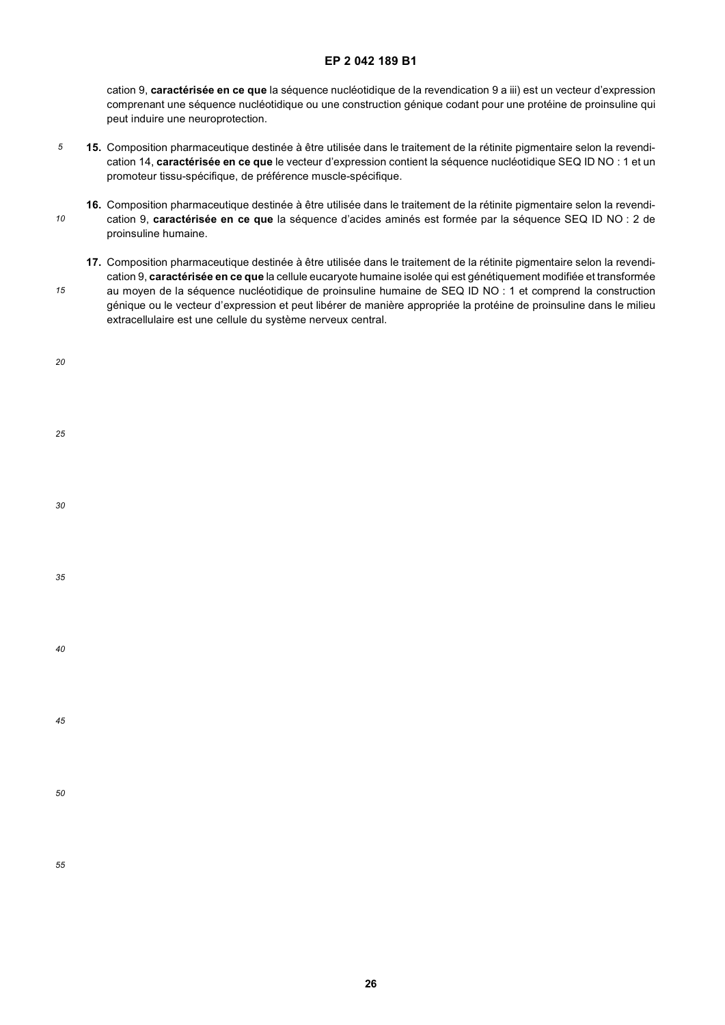cation 9, **caractérisée en ce que** la séquence nucléotidique de la revendication 9 a iii) est un vecteur d'expression comprenant une séquence nucléotidique ou une construction génique codant pour une protéine de proinsuline qui peut induire une neuroprotection.

- *5* **15.** Composition pharmaceutique destinée à être utilisée dans le traitement de la rétinite pigmentaire selon la revendication 14, **caractérisée en ce que** le vecteur d'expression contient la séquence nucléotidique SEQ ID NO : 1 et un promoteur tissu-spécifique, de préférence muscle-spécifique.
- *10* **16.** Composition pharmaceutique destinée à être utilisée dans le traitement de la rétinite pigmentaire selon la revendication 9, **caractérisée en ce que** la séquence d'acides aminés est formée par la séquence SEQ ID NO : 2 de proinsuline humaine.
	- **17.** Composition pharmaceutique destinée à être utilisée dans le traitement de la rétinite pigmentaire selon la revendication 9, **caractérisée en ce que** la cellule eucaryote humaine isolée qui est génétiquement modifiée et transformée au moyen de la séquence nucléotidique de proinsuline humaine de SEQ ID NO : 1 et comprend la construction génique ou le vecteur d'expression et peut libérer de manière appropriée la protéine de proinsuline dans le milieu extracellulaire est une cellule du système nerveux central.

| 25 |  |  |  |
|----|--|--|--|
| 30 |  |  |  |
| 35 |  |  |  |
| 40 |  |  |  |
| 45 |  |  |  |
| 50 |  |  |  |
| 55 |  |  |  |

*15*

*20*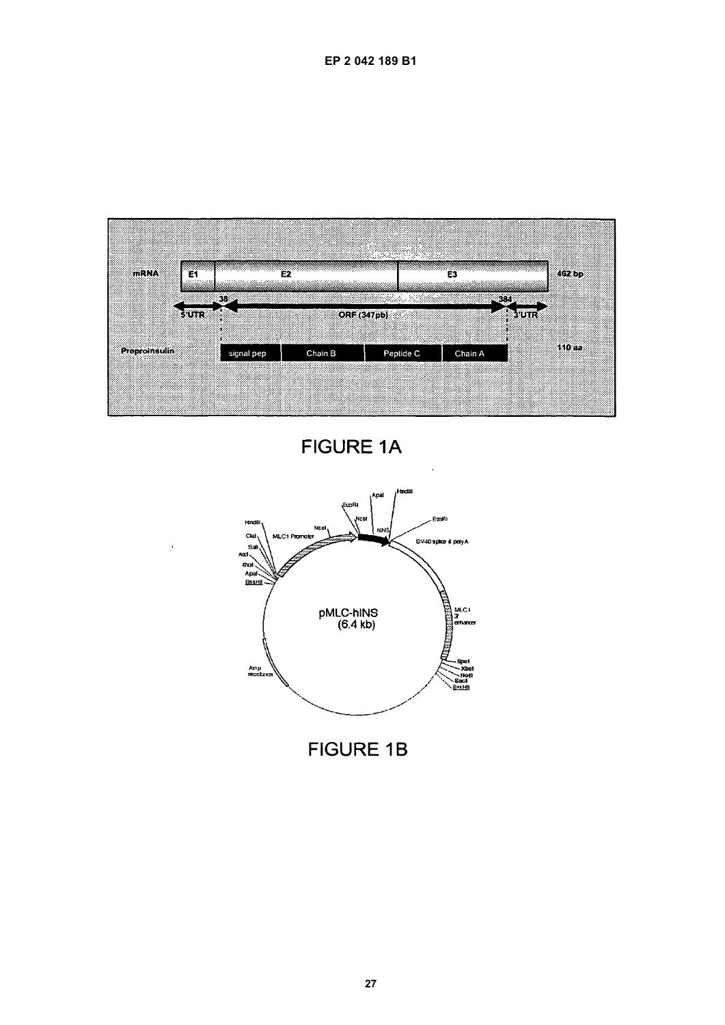



**FIGURE 1A** 



**FIGURE 1B**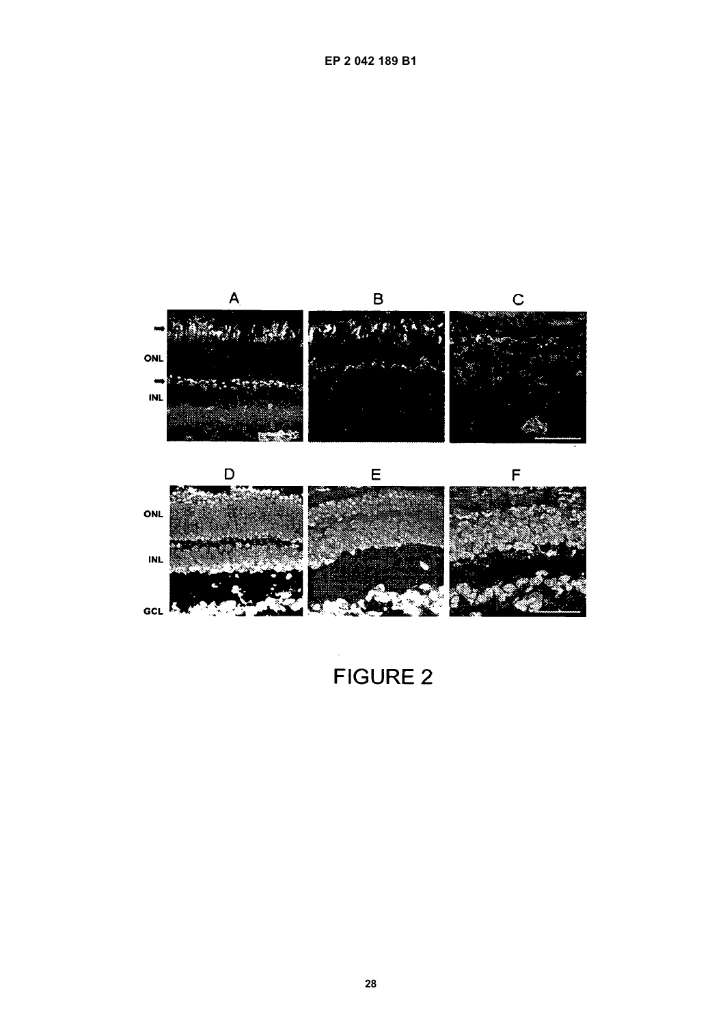



 $\overline{B}$ 

 $\mathsf{C}$ 

 $\mathsf{A}$ 

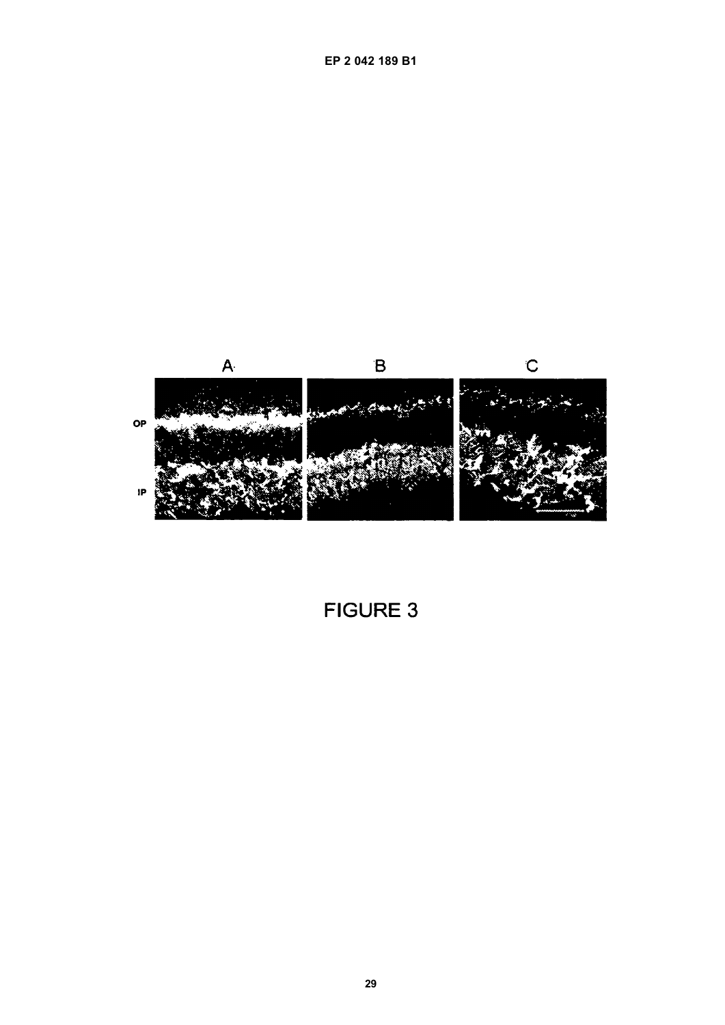

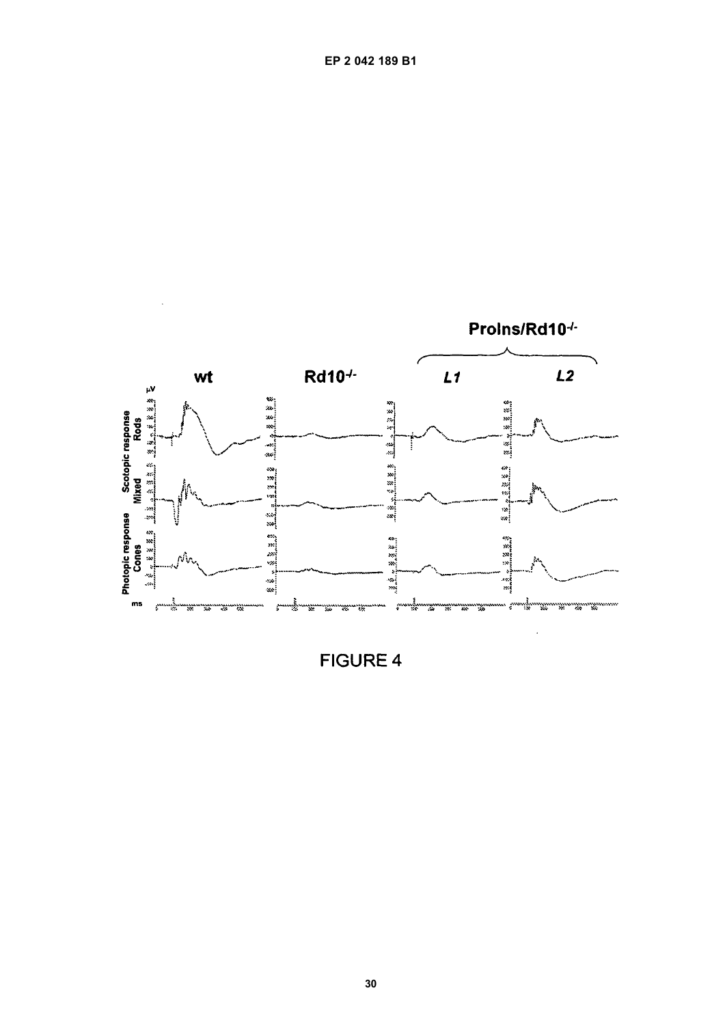

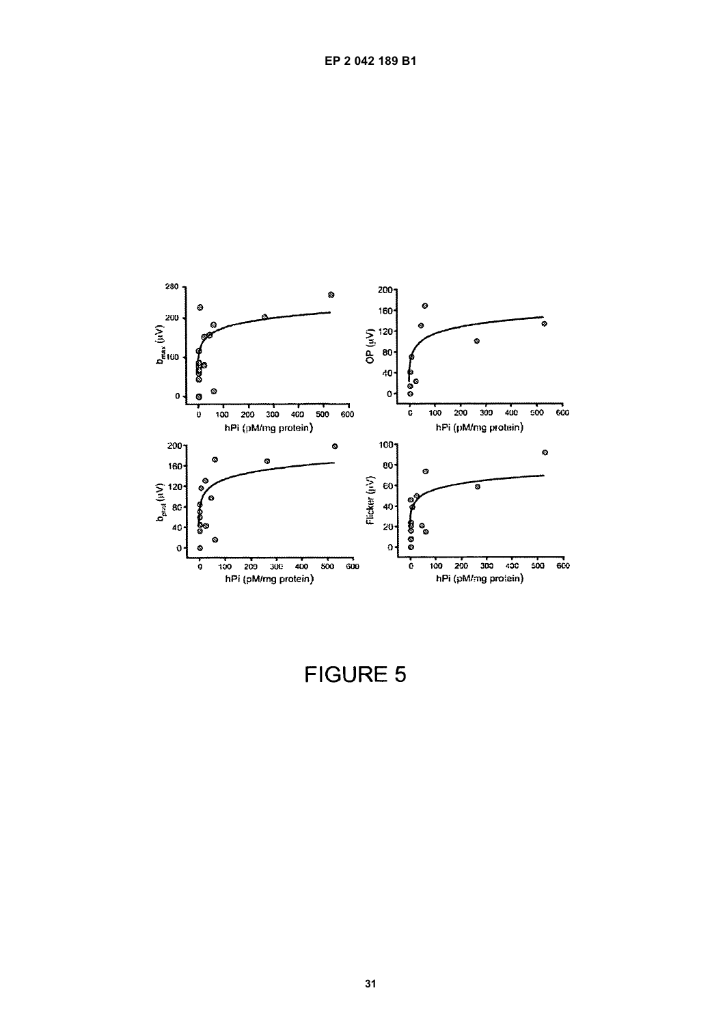

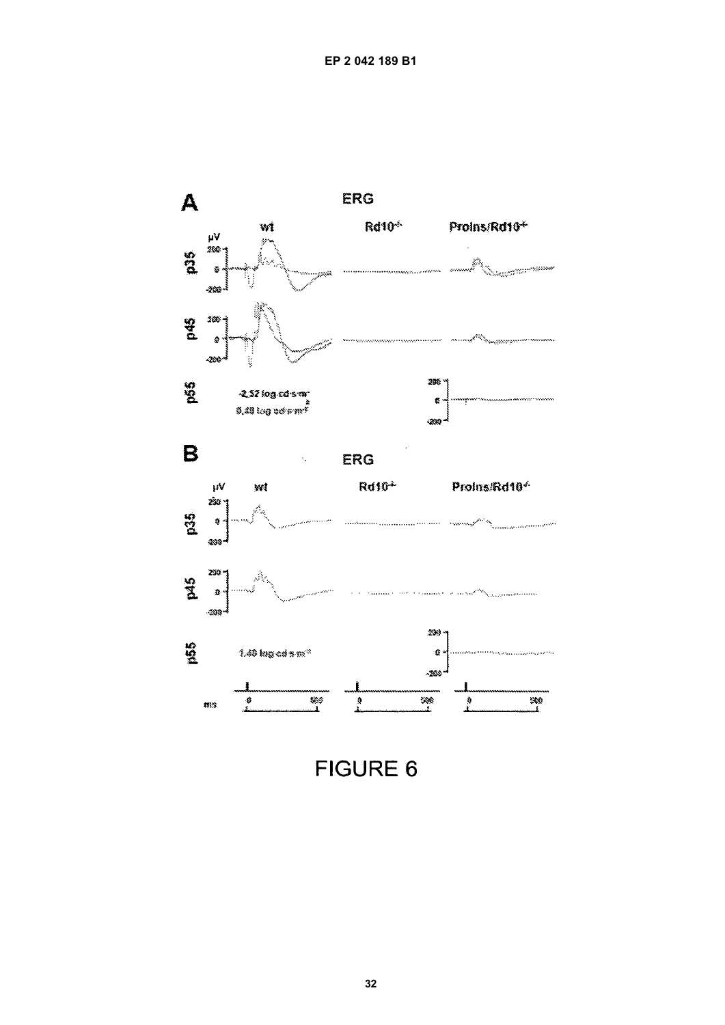

**FIGURE 6**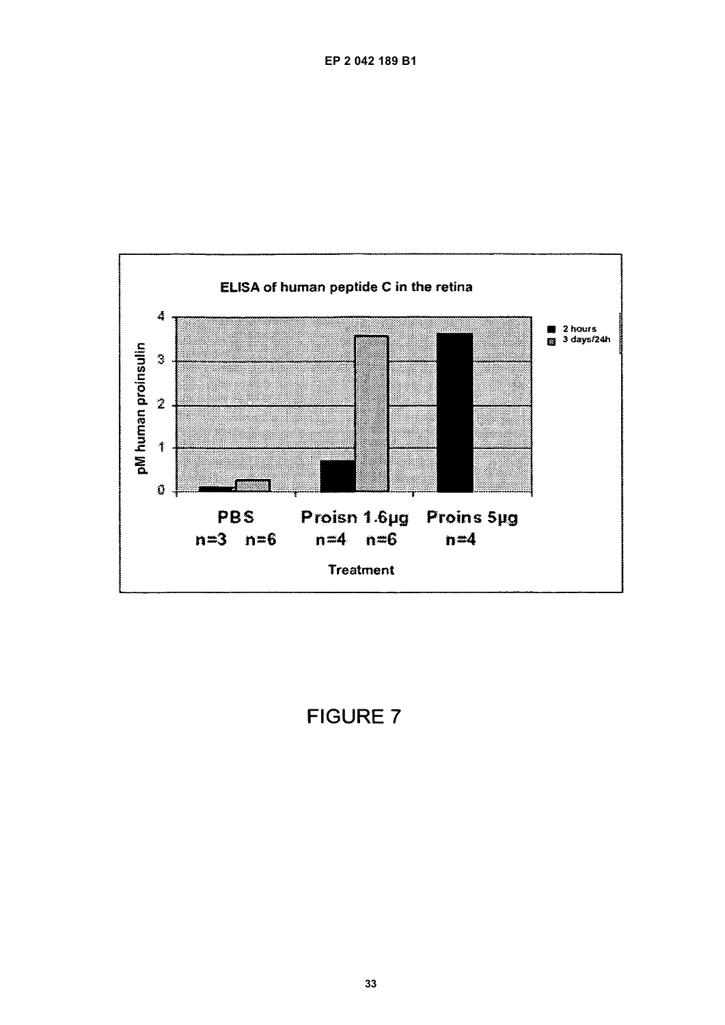

**FIGURE 7**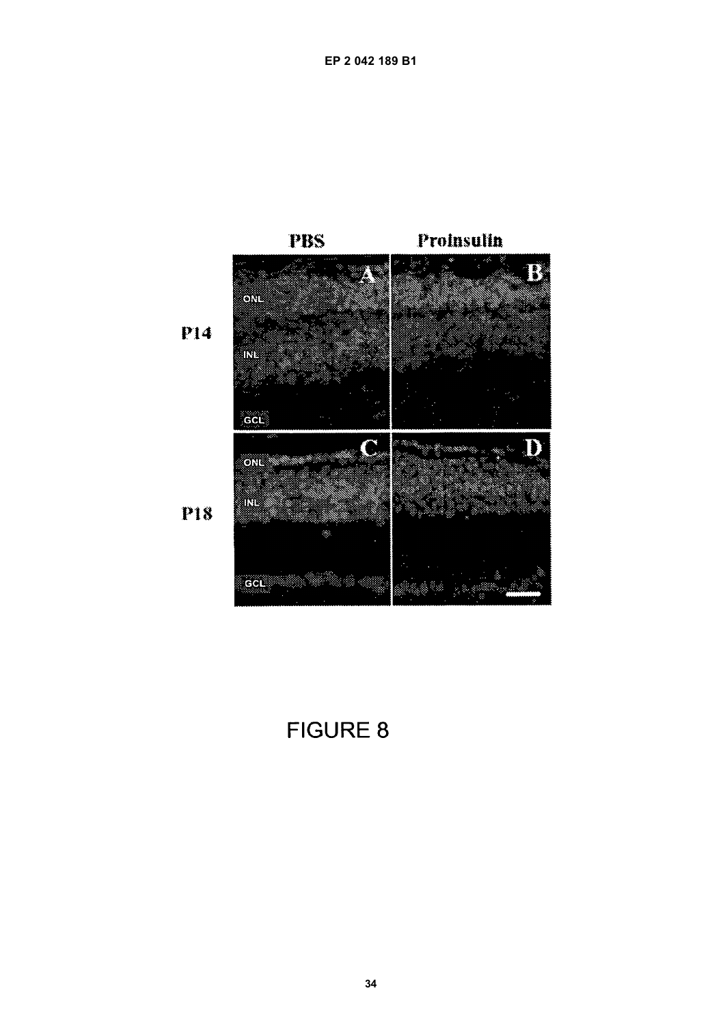

FIGURE 8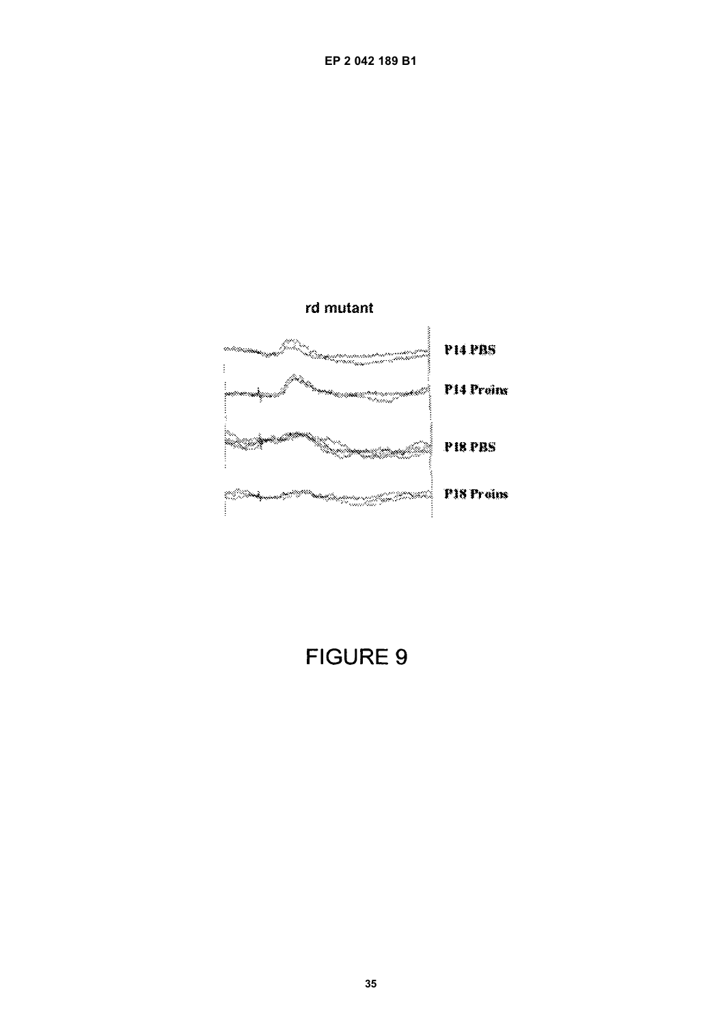

**FIGURE 9**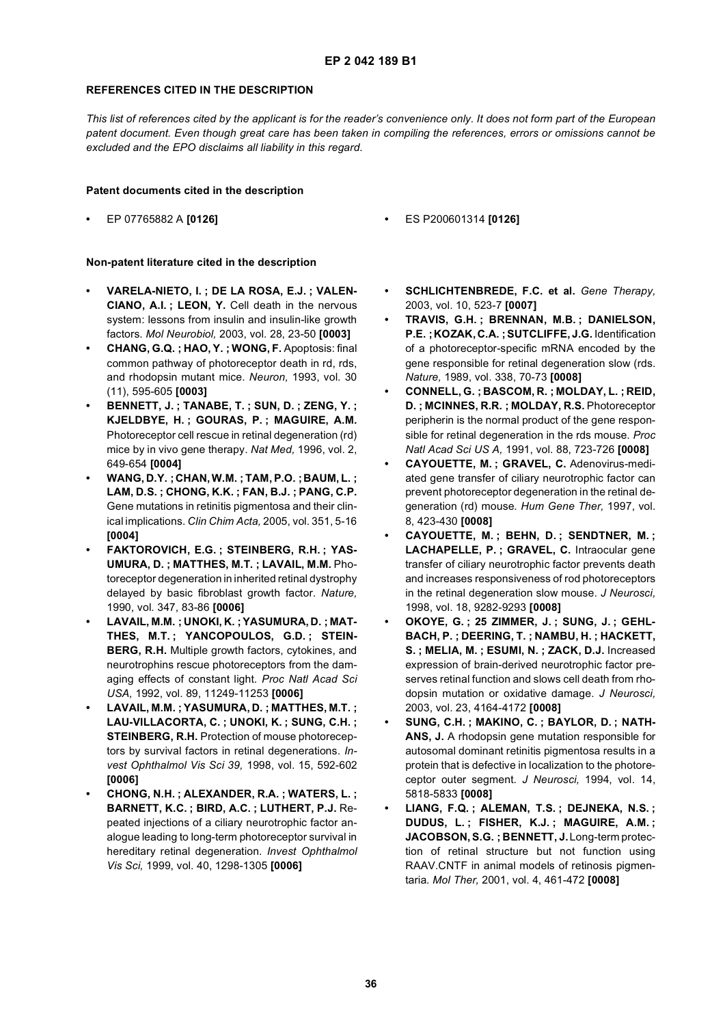#### **REFERENCES CITED IN THE DESCRIPTION**

*This list of references cited by the applicant is for the reader's convenience only. It does not form part of the European patent document. Even though great care has been taken in compiling the references, errors or omissions cannot be excluded and the EPO disclaims all liability in this regard.*

#### **Patent documents cited in the description**

- - **•** EP 07765882 A **[0126] •** ES P200601314 **[0126]**

#### **Non-patent literature cited in the description**

- **VARELA-NIETO, I. ; DE LA ROSA, E.J. ; VALEN-CIANO, A.I. ; LEON, Y.** Cell death in the nervous system: lessons from insulin and insulin-like growth factors. *Mol Neurobiol,* 2003, vol. 28, 23-50 **[0003]**
- **CHANG, G.Q. ; HAO, Y. ; WONG, F.** Apoptosis: final common pathway of photoreceptor death in rd, rds, and rhodopsin mutant mice. *Neuron,* 1993, vol. 30 (11), 595-605 **[0003]**
- **BENNETT, J. ; TANABE, T. ; SUN, D. ; ZENG, Y. ; KJELDBYE, H. ; GOURAS, P. ; MAGUIRE, A.M.** Photoreceptor cell rescue in retinal degeneration (rd) mice by in vivo gene therapy. *Nat Med,* 1996, vol. 2, 649-654 **[0004]**
- **WANG, D.Y. ; CHAN, W.M. ; TAM, P.O. ;BAUM, L. ; LAM, D.S. ; CHONG, K.K. ; FAN, B.J. ; PANG, C.P.** Gene mutations in retinitis pigmentosa and their clinical implications. *Clin Chim Acta,* 2005, vol. 351, 5-16 **[0004]**
- **FAKTOROVICH, E.G. ; STEINBERG, R.H. ; YAS-UMURA, D. ; MATTHES, M.T. ; LAVAIL, M.M.** Photoreceptor degeneration in inherited retinal dystrophy delayed by basic fibroblast growth factor. *Nature,* 1990, vol. 347, 83-86 **[0006]**
- **LAVAIL, M.M. ; UNOKI, K. ;YASUMURA, D. ; MAT-THES, M.T. ; YANCOPOULOS, G.D. ; STEIN-BERG, R.H.** Multiple growth factors, cytokines, and neurotrophins rescue photoreceptors from the damaging effects of constant light. *Proc Natl Acad Sci USA,* 1992, vol. 89, 11249-11253 **[0006]**
- **LAVAIL, M.M. ; YASUMURA, D. ; MATTHES, M.T. ; LAU-VILLACORTA, C. ; UNOKI, K. ; SUNG, C.H. ; STEINBERG, R.H.** Protection of mouse photoreceptors by survival factors in retinal degenerations. *Invest Ophthalmol Vis Sci 39,* 1998, vol. 15, 592-602 **[0006]**
- **CHONG, N.H. ; ALEXANDER, R.A. ; WATERS, L. ; BARNETT, K.C. ; BIRD, A.C. ; LUTHERT, P.J.** Repeated injections of a ciliary neurotrophic factor analogue leading to long-term photoreceptor survival in hereditary retinal degeneration. *Invest Ophthalmol Vis Sci,* 1999, vol. 40, 1298-1305 **[0006]**
- **SCHLICHTENBREDE, F.C. et al.** *Gene Therapy,* 2003, vol. 10, 523-7 **[0007]**
- **TRAVIS, G.H. ; BRENNAN, M.B. ; DANIELSON, P.E. ;KOZAK, C.A. ;SUTCLIFFE, J.G.** Identification of a photoreceptor-specific mRNA encoded by the gene responsible for retinal degeneration slow (rds. *Nature,* 1989, vol. 338, 70-73 **[0008]**
- **CONNELL, G. ; BASCOM, R. ; MOLDAY, L. ; REID, D. ; MCINNES, R.R. ; MOLDAY, R.S.** Photoreceptor peripherin is the normal product of the gene responsible for retinal degeneration in the rds mouse. *Proc Natl Acad Sci US A,* 1991, vol. 88, 723-726 **[0008]**
- **CAYOUETTE, M. ; GRAVEL, C.** Adenovirus-mediated gene transfer of ciliary neurotrophic factor can prevent photoreceptor degeneration in the retinal degeneration (rd) mouse. *Hum Gene Ther,* 1997, vol. 8, 423-430 **[0008]**
- **CAYOUETTE, M. ; BEHN, D. ; SENDTNER, M. ; LACHAPELLE, P. ; GRAVEL, C.** Intraocular gene transfer of ciliary neurotrophic factor prevents death and increases responsiveness of rod photoreceptors in the retinal degeneration slow mouse. *J Neurosci,* 1998, vol. 18, 9282-9293 **[0008]**
- **OKOYE, G. ; 25 ZIMMER, J. ; SUNG, J. ; GEHL-BACH, P. ; DEERING, T. ; NAMBU, H. ; HACKETT, S. ; MELIA, M. ; ESUMI, N. ; ZACK, D.J.** Increased expression of brain-derived neurotrophic factor preserves retinal function and slows cell death from rhodopsin mutation or oxidative damage. *J Neurosci,* 2003, vol. 23, 4164-4172 **[0008]**
- **SUNG, C.H. ; MAKINO, C. ; BAYLOR, D. ; NATH-ANS, J.** A rhodopsin gene mutation responsible for autosomal dominant retinitis pigmentosa results in a protein that is defective in localization to the photoreceptor outer segment. *J Neurosci,* 1994, vol. 14, 5818-5833 **[0008]**
- **LIANG, F.Q. ; ALEMAN, T.S. ; DEJNEKA, N.S. ; DUDUS, L. ; FISHER, K.J. ; MAGUIRE, A.M. ; JACOBSON, S.G. ; BENNETT, J.** Long-term protection of retinal structure but not function using RAAV.CNTF in animal models of retinosis pigmentaria. *Mol Ther,* 2001, vol. 4, 461-472 **[0008]**